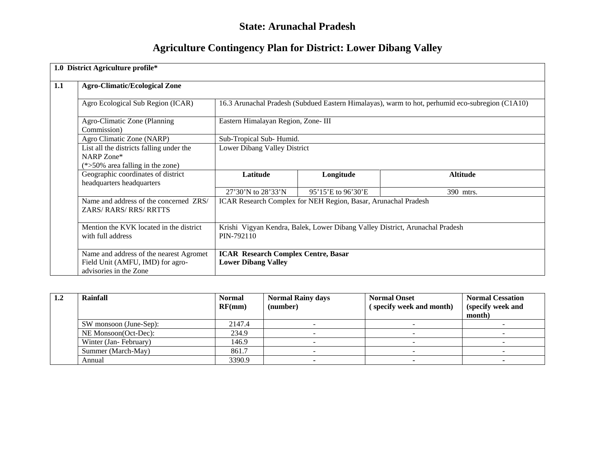# **State: Arunachal Pradesh**

# **Agriculture Contingency Plan for District: Lower Dibang Valley**

|     | 1.0 District Agriculture profile*                                                                     |                                                                                            |                    |                                                                                                 |  |  |
|-----|-------------------------------------------------------------------------------------------------------|--------------------------------------------------------------------------------------------|--------------------|-------------------------------------------------------------------------------------------------|--|--|
| 1.1 | <b>Agro-Climatic/Ecological Zone</b>                                                                  |                                                                                            |                    |                                                                                                 |  |  |
|     | Agro Ecological Sub Region (ICAR)                                                                     |                                                                                            |                    | 16.3 Arunachal Pradesh (Subdued Eastern Himalayas), warm to hot, perhumid eco-subregion (C1A10) |  |  |
|     | Agro-Climatic Zone (Planning<br>Commission)                                                           | Eastern Himalayan Region, Zone- III                                                        |                    |                                                                                                 |  |  |
|     | Agro Climatic Zone (NARP)                                                                             | Sub-Tropical Sub-Humid.                                                                    |                    |                                                                                                 |  |  |
|     | List all the districts falling under the<br>NARP Zone*<br>$(*>50\%$ area falling in the zone)         | Lower Dibang Valley District                                                               |                    |                                                                                                 |  |  |
|     | Geographic coordinates of district<br>headquarters headquarters                                       | Latitude                                                                                   | Longitude          | <b>Altitude</b>                                                                                 |  |  |
|     |                                                                                                       | 27'30'N to 28'33'N                                                                         | 95'15'E to 96'30'E | 390 mtrs.                                                                                       |  |  |
|     | Name and address of the concerned ZRS/<br><b>ZARS/RARS/RRS/RRTTS</b>                                  | ICAR Research Complex for NEH Region, Basar, Arunachal Pradesh                             |                    |                                                                                                 |  |  |
|     | Mention the KVK located in the district<br>with full address                                          | Krishi Vigyan Kendra, Balek, Lower Dibang Valley District, Arunachal Pradesh<br>PIN-792110 |                    |                                                                                                 |  |  |
|     | Name and address of the nearest Agromet<br>Field Unit (AMFU, IMD) for agro-<br>advisories in the Zone | <b>ICAR Research Complex Centre, Basar</b><br><b>Lower Dibang Valley</b>                   |                    |                                                                                                 |  |  |

| $1.2\,$ | Rainfall               | <b>Normal</b><br>RF(mm) | <b>Normal Rainy days</b><br>(number) | <b>Normal Onset</b><br>(specify week and month) | <b>Normal Cessation</b><br>(specify week and<br>month) |
|---------|------------------------|-------------------------|--------------------------------------|-------------------------------------------------|--------------------------------------------------------|
|         | SW monsoon (June-Sep): | 2147.4                  |                                      |                                                 |                                                        |
|         | NE Monsoon(Oct-Dec):   | 234.9                   |                                      |                                                 |                                                        |
|         | Winter (Jan-February)  | 146.9                   |                                      |                                                 |                                                        |
|         | Summer (March-May)     | 861.7                   |                                      |                                                 |                                                        |
|         | Annual                 | 3390.9                  |                                      |                                                 |                                                        |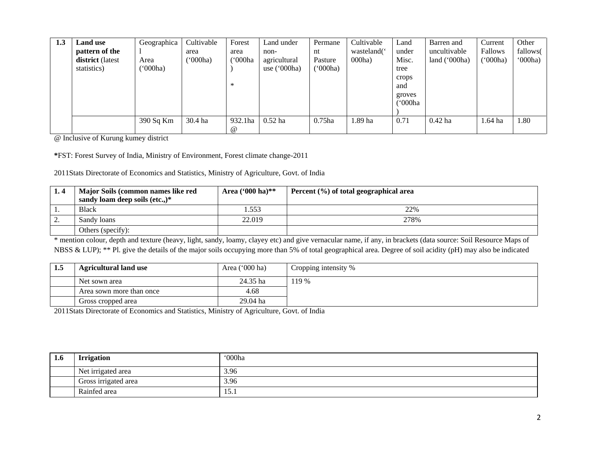| 1.3 | <b>Land use</b><br>pattern of the<br>district (latest<br>statistics) | Geographica<br>Area<br>('000ha) | Cultivable<br>area<br>('000ha) | Forest<br>area<br>('000ha<br>∗ | Land under<br>non-<br>agricultural<br>use $('000ha)$ | Permane<br>nt<br>Pasture<br>('000ha) | Cultivable<br>wasteland('<br>000ha) | Land<br>under<br>Misc.<br>tree<br>crops<br>and<br>groves | Barren and<br>uncultivable<br>land $('000ha)$ | Current<br><b>Fallows</b><br>(000ha) | Other<br>fallows(<br>000ha |
|-----|----------------------------------------------------------------------|---------------------------------|--------------------------------|--------------------------------|------------------------------------------------------|--------------------------------------|-------------------------------------|----------------------------------------------------------|-----------------------------------------------|--------------------------------------|----------------------------|
|     |                                                                      |                                 |                                |                                |                                                      |                                      |                                     | `000ha                                                   |                                               |                                      |                            |
|     |                                                                      | 390 Sq Km                       | 30.4 ha                        | 932.1ha<br>$^{\circ}$          | $0.52$ ha                                            | $0.75$ ha                            | .89 ha                              | 0.71                                                     | $0.42$ ha                                     | $1.64$ ha                            | 1.80                       |

@ Inclusive of Kurung kumey district

**\***FST: Forest Survey of India, Ministry of Environment, Forest climate change-2011

2011Stats Directorate of Economics and Statistics, Ministry of Agriculture, Govt. of India

| 1.4 | Major Soils (common names like red      | Area $(900 \text{ ha})$ ** | Percent (%) of total geographical area |  |  |  |
|-----|-----------------------------------------|----------------------------|----------------------------------------|--|--|--|
|     | sandy loam deep soils $(\text{etc.})^*$ |                            |                                        |  |  |  |
|     | <b>Black</b>                            | .553                       | 22%                                    |  |  |  |
| ٠.  | Sandy loans                             | 22.019                     | 278%                                   |  |  |  |
|     | Others (specify):                       |                            |                                        |  |  |  |

\* mention colour, depth and texture (heavy, light, sandy, loamy, clayey etc) and give vernacular name, if any, in brackets (data source: Soil Resource Maps of NBSS & LUP); \*\* Pl. give the details of the major soils occupying more than 5% of total geographical area. Degree of soil acidity (pH) may also be indicated

| -1.5 | <b>Agricultural land use</b> | Area $('000 ha)$ | Cropping intensity % |
|------|------------------------------|------------------|----------------------|
|      | Net sown area                | 24.35 ha         | 119 %                |
|      | Area sown more than once     | 4.68             |                      |
|      | Gross cropped area           | 29.04 ha         |                      |

2011Stats Directorate of Economics and Statistics, Ministry of Agriculture, Govt. of India

| 1.6 | <b>Irrigation</b>    | '000ha |
|-----|----------------------|--------|
|     | Net irrigated area   | 3.96   |
|     | Gross irrigated area | 3.96   |
|     | Rainfed area         | 15.1   |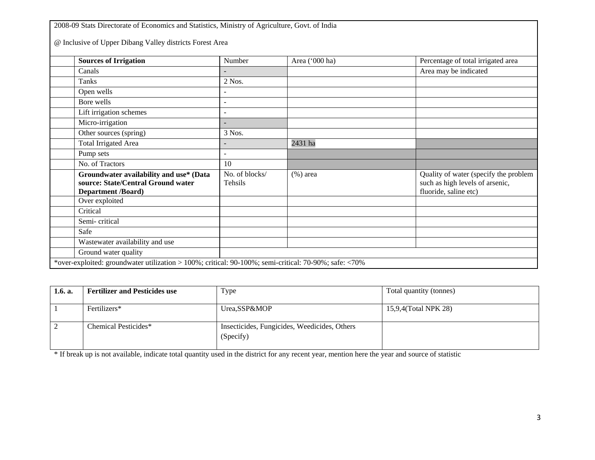2008-09 Stats Directorate of Economics and Statistics, Ministry of Agriculture, Govt. of India @ Inclusive of Upper Dibang Valley districts Forest Area **Sources of Irrigation** Number Area ('000 ha) Percentage of total irrigated area Canals **Canals** - **Area may be indicated** Tanks 2 Nos. Open wells Bore wells  $\vert$  -Lift irrigation schemes Micro-irrigation and the method of  $\sim$ Other sources (spring) 3 Nos. Total Irrigated Area 2431 ha Pump sets  $\vert$  -No. of Tractors 10 **Groundwater availability and use\* (Data source: State/Central Ground water Department /Board)** No. of blocks/ Tehsils (%) area Quality of water (specify the problem such as high levels of arsenic, fluoride, saline etc) Over exploited Critical Semi- critical Safe Wastewater availability and use Ground water quality

\*over-exploited: groundwater utilization > 100%; critical: 90-100%; semi-critical: 70-90%; safe: <70%

| 1.6. a. | <b>Fertilizer and Pesticides use</b> | Type                                                      | Total quantity (tonnes) |
|---------|--------------------------------------|-----------------------------------------------------------|-------------------------|
|         | Fertilizers*                         | Urea,SSP&MOP                                              | 15,9,4(Total NPK 28)    |
|         | Chemical Pesticides*                 | Insecticides, Fungicides, Weedicides, Others<br>(Specify) |                         |

\* If break up is not available, indicate total quantity used in the district for any recent year, mention here the year and source of statistic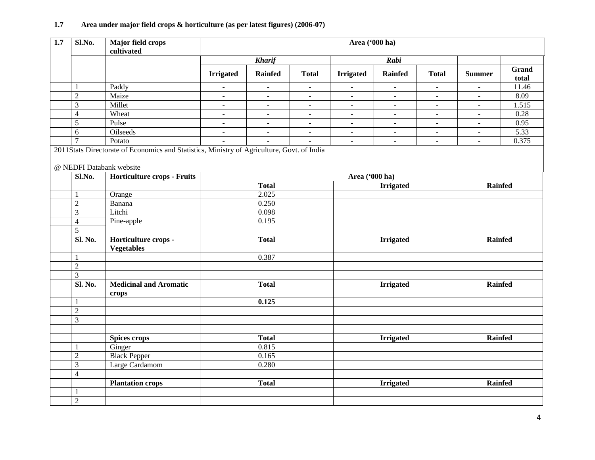# **1.7 Area under major field crops & horticulture (as per latest figures) (2006-07)**

| $\overline{1.7}$ | Sl.No.         | <b>Major field crops</b><br>cultivated                                                                                                                | Area ('000 ha)           |                |                          |                          |                          |                |                |                |  |
|------------------|----------------|-------------------------------------------------------------------------------------------------------------------------------------------------------|--------------------------|----------------|--------------------------|--------------------------|--------------------------|----------------|----------------|----------------|--|
|                  |                |                                                                                                                                                       |                          | <b>Kharif</b>  |                          |                          | Rabi                     |                |                |                |  |
|                  |                |                                                                                                                                                       | <b>Irrigated</b>         | Rainfed        | <b>Total</b>             | <b>Irrigated</b>         | <b>Rainfed</b>           | <b>Total</b>   | <b>Summer</b>  | Grand<br>total |  |
|                  | 1              | Paddy                                                                                                                                                 | $\overline{\phantom{a}}$ | $\equiv$       | $\blacksquare$           | $\overline{\phantom{a}}$ | $\blacksquare$           | $\blacksquare$ | $\equiv$       | 11.46          |  |
|                  | $\overline{2}$ | Maize                                                                                                                                                 | $\blacksquare$           | $\blacksquare$ | $\equiv$                 | $\blacksquare$           | $\sim$                   | $\omega$       | $\mathbf{r}$   | 8.09           |  |
|                  | 3              | Millet                                                                                                                                                | $\omega$                 | $\omega$       | $\blacksquare$           | $\blacksquare$           | $\blacksquare$           | $\blacksquare$ | $\blacksquare$ | 1.515          |  |
|                  | $\overline{4}$ | Wheat                                                                                                                                                 | $\blacksquare$           | $\blacksquare$ | $\blacksquare$           | $\blacksquare$           | $\blacksquare$           | $\blacksquare$ | $\blacksquare$ | 0.28           |  |
|                  | 5              | Pulse                                                                                                                                                 | $\equiv$                 | $\blacksquare$ | $\blacksquare$           | $\blacksquare$           | $\equiv$                 | $\omega$       | $\blacksquare$ | 0.95           |  |
|                  | 6              | Oilseeds                                                                                                                                              | $\sim$                   | $\omega$       | $\blacksquare$           | $\overline{\phantom{a}}$ | $\blacksquare$           | $\blacksquare$ | $\blacksquare$ | 5.33           |  |
|                  | $\overline{7}$ | Potato                                                                                                                                                | $\blacksquare$           | $\blacksquare$ | $\overline{\phantom{a}}$ | $\overline{\phantom{a}}$ | $\overline{\phantom{a}}$ | $\blacksquare$ | $\blacksquare$ | 0.375          |  |
|                  | Sl.No.         | 2011Stats Directorate of Economics and Statistics, Ministry of Agriculture, Govt. of India<br>@ NEDFI Databank website<br>Horticulture crops - Fruits |                          |                |                          | Area ('000 ha)           |                          |                |                |                |  |
|                  |                |                                                                                                                                                       |                          | <b>Total</b>   |                          |                          | <b>Irrigated</b>         | <b>Rainfed</b> |                |                |  |
|                  | -1             | Orange                                                                                                                                                |                          | 2.025          |                          |                          |                          |                |                |                |  |
|                  | $\overline{2}$ | Banana                                                                                                                                                |                          | 0.250          |                          |                          |                          |                |                |                |  |
|                  | 3              | Litchi                                                                                                                                                |                          | 0.098          |                          |                          |                          |                |                |                |  |
|                  | $\overline{4}$ | Pine-apple                                                                                                                                            |                          | 0.195          |                          |                          |                          |                |                |                |  |
|                  | $\overline{5}$ |                                                                                                                                                       |                          |                |                          |                          |                          |                |                |                |  |
|                  | Sl. No.        | Horticulture crops -                                                                                                                                  |                          | <b>Total</b>   |                          |                          | <b>Irrigated</b>         |                | Rainfed        |                |  |
|                  |                | <b>Vegetables</b>                                                                                                                                     |                          |                |                          |                          |                          |                |                |                |  |
|                  | -1             |                                                                                                                                                       |                          | 0.387          |                          |                          |                          |                |                |                |  |
|                  | $\overline{2}$ |                                                                                                                                                       |                          |                |                          |                          |                          |                |                |                |  |
|                  | 3              |                                                                                                                                                       |                          |                |                          |                          |                          |                |                |                |  |
|                  | Sl. No.        | <b>Medicinal and Aromatic</b><br>crops                                                                                                                |                          | <b>Total</b>   |                          |                          | <b>Irrigated</b>         |                |                | <b>Rainfed</b> |  |
|                  | 1              |                                                                                                                                                       |                          | 0.125          |                          |                          |                          |                |                |                |  |
|                  | $\overline{2}$ |                                                                                                                                                       |                          |                |                          |                          |                          |                |                |                |  |
|                  | 3              |                                                                                                                                                       |                          |                |                          |                          |                          |                |                |                |  |
|                  |                |                                                                                                                                                       |                          |                |                          |                          |                          |                |                |                |  |
|                  |                | <b>Spices crops</b>                                                                                                                                   |                          | <b>Total</b>   |                          |                          | <b>Irrigated</b>         |                | <b>Rainfed</b> |                |  |
|                  | $\mathbf{1}$   | Ginger                                                                                                                                                |                          | 0.815          |                          |                          |                          |                |                |                |  |
|                  | $\overline{2}$ | <b>Black Pepper</b>                                                                                                                                   |                          | 0.165          |                          |                          |                          |                |                |                |  |
|                  | $\overline{3}$ | Large Cardamom                                                                                                                                        |                          | 0.280          |                          |                          |                          |                |                |                |  |
|                  | $\overline{4}$ |                                                                                                                                                       |                          |                |                          |                          |                          |                |                |                |  |
|                  |                | <b>Plantation crops</b>                                                                                                                               |                          | <b>Total</b>   |                          |                          | <b>Irrigated</b>         |                | Rainfed        |                |  |
|                  | $\mathbf{1}$   |                                                                                                                                                       |                          |                |                          |                          |                          |                |                |                |  |
|                  | $\overline{2}$ |                                                                                                                                                       |                          |                |                          |                          |                          |                |                |                |  |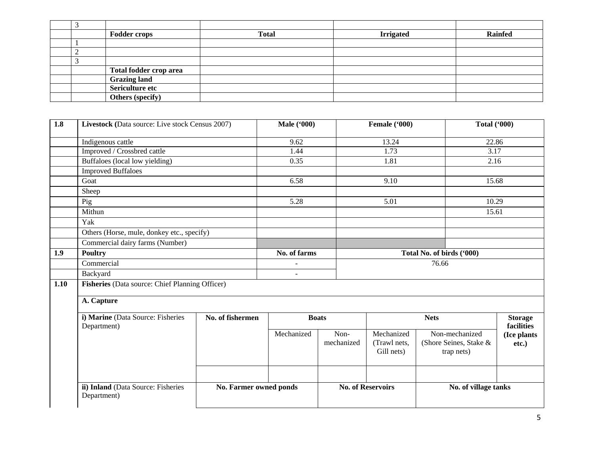|   | <b>Fodder crops</b>     | <b>Total</b> | <b>Irrigated</b> | <b>Rainfed</b> |
|---|-------------------------|--------------|------------------|----------------|
|   |                         |              |                  |                |
| ∸ |                         |              |                  |                |
|   |                         |              |                  |                |
|   | Total fodder crop area  |              |                  |                |
|   | <b>Grazing land</b>     |              |                  |                |
|   | Sericulture etc         |              |                  |                |
|   | <b>Others (specify)</b> |              |                  |                |

| 1.8  | Livestock (Data source: Live stock Census 2007)   |                        | <b>Male</b> ('000) |                          | Female ('000)                            | <b>Total ('000)</b>       |                                                        |                              |
|------|---------------------------------------------------|------------------------|--------------------|--------------------------|------------------------------------------|---------------------------|--------------------------------------------------------|------------------------------|
|      | Indigenous cattle                                 |                        | 9.62               |                          | 13.24                                    |                           | 22.86                                                  |                              |
|      | Improved / Crossbred cattle                       |                        | 1.44               | 1.73                     |                                          | 3.17                      |                                                        |                              |
|      | Buffaloes (local low yielding)                    |                        | 0.35               |                          | 1.81                                     |                           | 2.16                                                   |                              |
|      | <b>Improved Buffaloes</b>                         |                        |                    |                          |                                          |                           |                                                        |                              |
|      | Goat                                              |                        | 6.58               |                          | 9.10                                     |                           | 15.68                                                  |                              |
|      | Sheep                                             |                        |                    |                          |                                          |                           |                                                        |                              |
|      | Pig                                               |                        | 5.28               |                          | 5.01                                     |                           | 10.29                                                  |                              |
|      | Mithun                                            |                        |                    |                          |                                          |                           | 15.61                                                  |                              |
|      | Yak                                               |                        |                    |                          |                                          |                           |                                                        |                              |
|      | Others (Horse, mule, donkey etc., specify)        |                        |                    |                          |                                          |                           |                                                        |                              |
|      | Commercial dairy farms (Number)                   |                        |                    |                          |                                          |                           |                                                        |                              |
| 1.9  | <b>Poultry</b>                                    |                        | No. of farms       |                          |                                          | Total No. of birds ('000) |                                                        |                              |
|      | Commercial                                        |                        |                    | 76.66                    |                                          |                           |                                                        |                              |
|      | Backyard                                          |                        |                    |                          |                                          |                           |                                                        |                              |
| 1.10 | Fisheries (Data source: Chief Planning Officer)   |                        |                    |                          |                                          |                           |                                                        |                              |
|      | A. Capture                                        |                        |                    |                          |                                          |                           |                                                        |                              |
|      | i) Marine (Data Source: Fisheries<br>Department)  | No. of fishermen       |                    | <b>Boats</b>             |                                          | <b>Nets</b>               |                                                        | <b>Storage</b><br>facilities |
|      |                                                   |                        | Mechanized         | Non-<br>mechanized       | Mechanized<br>(Trawl nets,<br>Gill nets) |                           | Non-mechanized<br>(Shore Seines, Stake &<br>trap nets) | (Ice plants<br>$etc.$ )      |
|      |                                                   |                        |                    |                          |                                          |                           |                                                        |                              |
|      | ii) Inland (Data Source: Fisheries<br>Department) | No. Farmer owned ponds |                    | <b>No. of Reservoirs</b> |                                          | No. of village tanks      |                                                        |                              |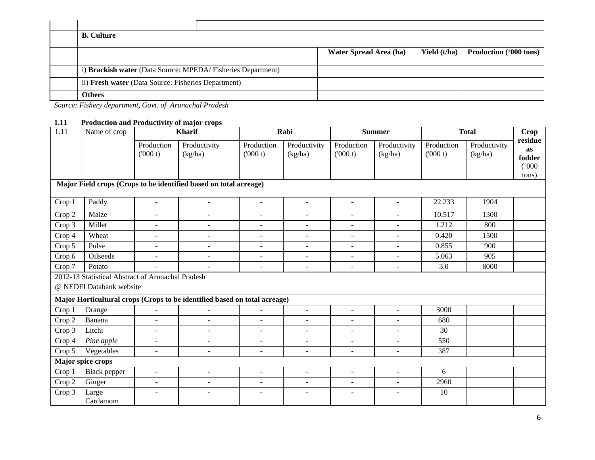| <b>B.</b> Culture                                           |                        |              |                               |
|-------------------------------------------------------------|------------------------|--------------|-------------------------------|
|                                                             | Water Spread Area (ha) | Yield (t/ha) | <b>Production ('000 tons)</b> |
| i) Brackish water (Data Source: MPEDA/Fisheries Department) |                        |              |                               |
| ii) Fresh water (Data Source: Fisheries Department)         |                        |              |                               |
| <b>Others</b>                                               |                        |              |                               |

*Source: Fishery department, Govt. of Arunachal Pradesh*

# **1.11 Production and Productivity of major crops**

| 1.11                                                              | Name of crop                                                                  |                          | <b>Kharif</b>                                                             |                          | Rabi                     |                          | <b>Summer</b>           |                       | <b>Total</b>            |                                           |
|-------------------------------------------------------------------|-------------------------------------------------------------------------------|--------------------------|---------------------------------------------------------------------------|--------------------------|--------------------------|--------------------------|-------------------------|-----------------------|-------------------------|-------------------------------------------|
|                                                                   |                                                                               | Production<br>(000 t)    | Productivity<br>(kg/ha)                                                   | Production<br>(000 t)    | Productivity<br>(kg/ha)  | Production<br>(000 t)    | Productivity<br>(kg/ha) | Production<br>(000 t) | Productivity<br>(kg/ha) | residue<br>as<br>fodder<br>(000)<br>tons) |
| Major Field crops (Crops to be identified based on total acreage) |                                                                               |                          |                                                                           |                          |                          |                          |                         |                       |                         |                                           |
| Crop 1                                                            | Paddy                                                                         | $\blacksquare$           | $\sim$                                                                    | $\blacksquare$           | $\overline{\phantom{a}}$ | $\blacksquare$           | $\sim$                  | 22.233                | 1904                    |                                           |
| Crop 2                                                            | Maize                                                                         | $\blacksquare$           | $\sim$                                                                    | ÷                        | $\blacksquare$           | $\overline{\phantom{a}}$ | $\sim$                  | 10.517                | 1300                    |                                           |
| Crop 3                                                            | Millet                                                                        | $\blacksquare$           | $\sim$                                                                    | $\overline{\phantom{a}}$ | $\overline{\phantom{a}}$ | $\blacksquare$           | $\sim$                  | 1.212                 | 800                     |                                           |
| Crop 4                                                            | Wheat                                                                         | $\blacksquare$           | $\blacksquare$                                                            | $\blacksquare$           | $\sim$                   | $\overline{a}$           | $\sim$                  | 0.420                 | 1500                    |                                           |
| Crop 5                                                            | Pulse                                                                         | $\blacksquare$           | $\overline{\phantom{a}}$                                                  | $\overline{\phantom{a}}$ | $\blacksquare$           | $\overline{\phantom{a}}$ | $\overline{a}$          | 0.855                 | 900                     |                                           |
| Crop 6                                                            | Oilseeds                                                                      | $\blacksquare$           | $\sim$                                                                    | $\overline{\phantom{a}}$ | $\sim$                   | $\sim$                   | $\sim$                  | 5.063                 | 905                     |                                           |
| Crop 7                                                            | Potato                                                                        | $\blacksquare$           |                                                                           | $\sim$                   | $\blacksquare$           | $\blacksquare$           | $\blacksquare$          | 3.0                   | 8000                    |                                           |
|                                                                   | 2012-13 Statistical Abstract of Arunachal Pradesh<br>@ NEDFI Databank website |                          |                                                                           |                          |                          |                          |                         |                       |                         |                                           |
|                                                                   |                                                                               |                          | Major Horticultural crops (Crops to be identified based on total acreage) |                          |                          |                          |                         |                       |                         |                                           |
| Crop 1                                                            | Orange                                                                        | $\blacksquare$           | $\sim$                                                                    | $\blacksquare$           | $\blacksquare$           | $\blacksquare$           | $\blacksquare$          | 3000                  |                         |                                           |
| Crop 2                                                            | Banana                                                                        | $\blacksquare$           | $\sim$                                                                    |                          | $\blacksquare$           | $\overline{a}$           | $\sim$                  | 680                   |                         |                                           |
| Crop 3                                                            | Litchi                                                                        | $\blacksquare$           | ÷.                                                                        | $\blacksquare$           | $\sim$                   | $\overline{\phantom{a}}$ | $\sim$                  | 30                    |                         |                                           |
| Crop 4                                                            | Pine apple                                                                    | $\blacksquare$           | $\blacksquare$                                                            | ÷.                       | $\sim$                   | $\sim$                   | $\sim$                  | 550                   |                         |                                           |
| Crop 5                                                            | Vegetables                                                                    | $\overline{\phantom{a}}$ | $\blacksquare$                                                            | $\overline{\phantom{a}}$ | $\overline{\phantom{a}}$ | $\overline{\phantom{a}}$ | $\blacksquare$          | 387                   |                         |                                           |
|                                                                   | Major spice crops                                                             |                          |                                                                           |                          |                          |                          |                         |                       |                         |                                           |
| Crop 1                                                            | Black pepper                                                                  | $\blacksquare$           | ÷.                                                                        | $\overline{a}$           | $\sim$                   | $\overline{a}$           | ÷.                      | 6                     |                         |                                           |
| Crop 2                                                            | Ginger                                                                        | $\blacksquare$           | $\overline{\phantom{a}}$                                                  | ٠                        | $\sim$                   | $\sim$                   | $\blacksquare$          | 2960                  |                         |                                           |
| Crop 3                                                            | Large<br>Cardamom                                                             |                          |                                                                           |                          | $\overline{\phantom{0}}$ | $\overline{a}$           |                         | 10                    |                         |                                           |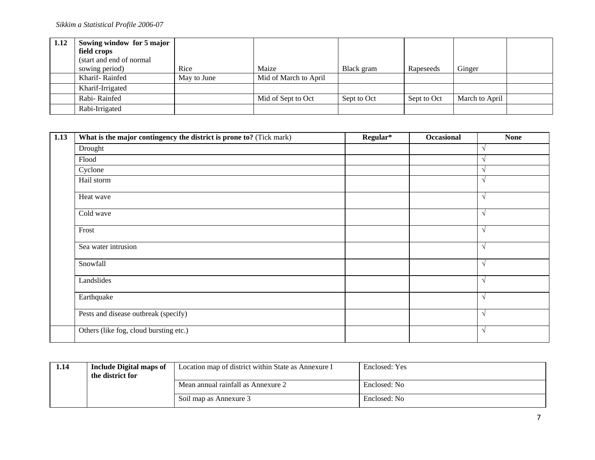| 1.12 | Sowing window for 5 major |             |                       |             |             |                |  |
|------|---------------------------|-------------|-----------------------|-------------|-------------|----------------|--|
|      | field crops               |             |                       |             |             |                |  |
|      | (start and end of normal  |             |                       |             |             |                |  |
|      | sowing period)            | Rice        | Maize                 | Black gram  | Rapeseeds   | Ginger         |  |
|      | Kharif-Rainfed            | May to June | Mid of March to April |             |             |                |  |
|      | Kharif-Irrigated          |             |                       |             |             |                |  |
|      | Rabi-Rainfed              |             | Mid of Sept to Oct    | Sept to Oct | Sept to Oct | March to April |  |
|      | Rabi-Irrigated            |             |                       |             |             |                |  |

| 1.13 | What is the major contingency the district is prone to? (Tick mark) | Regular* | <b>Occasional</b> | <b>None</b>   |
|------|---------------------------------------------------------------------|----------|-------------------|---------------|
|      | Drought                                                             |          |                   |               |
|      | Flood                                                               |          |                   |               |
|      | Cyclone                                                             |          |                   |               |
|      | Hail storm                                                          |          |                   |               |
|      | Heat wave                                                           |          |                   | V             |
|      | Cold wave                                                           |          |                   | V             |
|      | Frost                                                               |          |                   | $\sqrt{ }$    |
|      | Sea water intrusion                                                 |          |                   | V             |
|      | Snowfall                                                            |          |                   | $\sqrt{ }$    |
|      | Landslides                                                          |          |                   | V             |
|      | Earthquake                                                          |          |                   | N             |
|      | Pests and disease outbreak (specify)                                |          |                   | $\mathcal{N}$ |
|      | Others (like fog, cloud bursting etc.)                              |          |                   | $\mathcal{N}$ |

| 1.14 | <b>Include Digital maps of</b><br>the district for | Location map of district within State as Annexure I | Enclosed: Yes |  |
|------|----------------------------------------------------|-----------------------------------------------------|---------------|--|
|      |                                                    | Mean annual rainfall as Annexure 2                  | Enclosed: No  |  |
|      |                                                    | Soil map as Annexure 3                              | Enclosed: No  |  |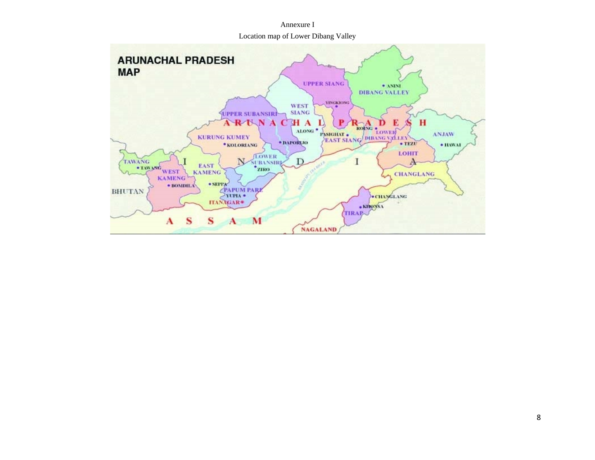Annexure I Location map of Lower Dibang Valley

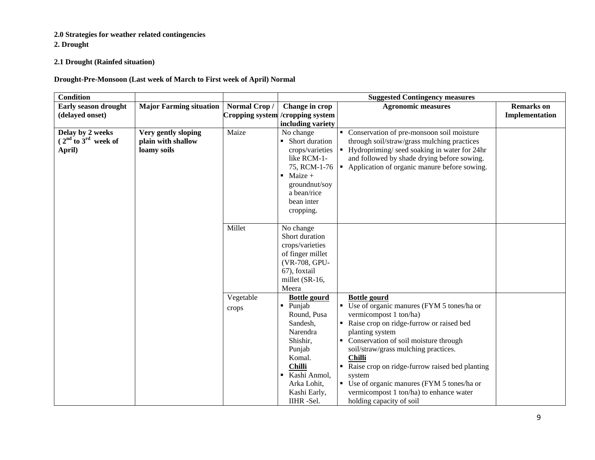# **2.0 Strategies for weather related contingencies**

**2. Drought**

# **2.1 Drought (Rainfed situation)**

# **Drought-Pre-Monsoon (Last week of March to First week of April) Normal**

| <b>Condition</b>        |                                |              |                                   | <b>Suggested Contingency measures</b>                       |                   |
|-------------------------|--------------------------------|--------------|-----------------------------------|-------------------------------------------------------------|-------------------|
| Early season drought    | <b>Major Farming situation</b> | Normal Crop/ | Change in crop                    | <b>Agronomic measures</b>                                   | <b>Remarks</b> on |
| (delayed onset)         |                                |              | Cropping system / cropping system |                                                             | Implementation    |
|                         |                                |              | including variety                 |                                                             |                   |
| Delay by 2 weeks        | Very gently sloping            | Maize        | No change                         | • Conservation of pre-monsoon soil moisture                 |                   |
| $(2nd$ to $3rd$ week of | plain with shallow             |              | • Short duration                  | through soil/straw/grass mulching practices                 |                   |
| April)                  | loamy soils                    |              | crops/varieties                   | • Hydropriming/ seed soaking in water for 24hr              |                   |
|                         |                                |              | like RCM-1-                       | and followed by shade drying before sowing.                 |                   |
|                         |                                |              |                                   | 75, RCM-1-76   Application of organic manure before sowing. |                   |
|                         |                                |              | Maize $+$<br>$\blacksquare$       |                                                             |                   |
|                         |                                |              | groundnut/soy                     |                                                             |                   |
|                         |                                |              | a bean/rice                       |                                                             |                   |
|                         |                                |              | bean inter                        |                                                             |                   |
|                         |                                |              | cropping.                         |                                                             |                   |
|                         |                                | Millet       | No change                         |                                                             |                   |
|                         |                                |              | Short duration                    |                                                             |                   |
|                         |                                |              | crops/varieties                   |                                                             |                   |
|                         |                                |              | of finger millet                  |                                                             |                   |
|                         |                                |              | (VR-708, GPU-                     |                                                             |                   |
|                         |                                |              | 67), foxtail                      |                                                             |                   |
|                         |                                |              | millet (SR-16,                    |                                                             |                   |
|                         |                                |              | Meera                             |                                                             |                   |
|                         |                                | Vegetable    | <b>Bottle gourd</b>               | <b>Bottle gourd</b>                                         |                   |
|                         |                                | crops        | Punjab<br>٠                       | • Use of organic manures (FYM 5 tones/ha or                 |                   |
|                         |                                |              | Round, Pusa                       | vermicompost 1 ton/ha)                                      |                   |
|                         |                                |              | Sandesh,                          | Raise crop on ridge-furrow or raised bed                    |                   |
|                         |                                |              | Narendra                          | planting system                                             |                   |
|                         |                                |              | Shishir,                          | • Conservation of soil moisture through                     |                   |
|                         |                                |              | Punjab                            | soil/straw/grass mulching practices.                        |                   |
|                         |                                |              | Komal.                            | <b>Chilli</b>                                               |                   |
|                         |                                |              | <b>Chilli</b>                     | Raise crop on ridge-furrow raised bed planting              |                   |
|                         |                                |              | Kashi Anmol,<br>٠                 | system                                                      |                   |
|                         |                                |              | Arka Lohit,                       | • Use of organic manures (FYM 5 tones/ha or                 |                   |
|                         |                                |              | Kashi Early,                      | vermicompost 1 ton/ha) to enhance water                     |                   |
|                         |                                |              | IIHR-Sel.                         | holding capacity of soil                                    |                   |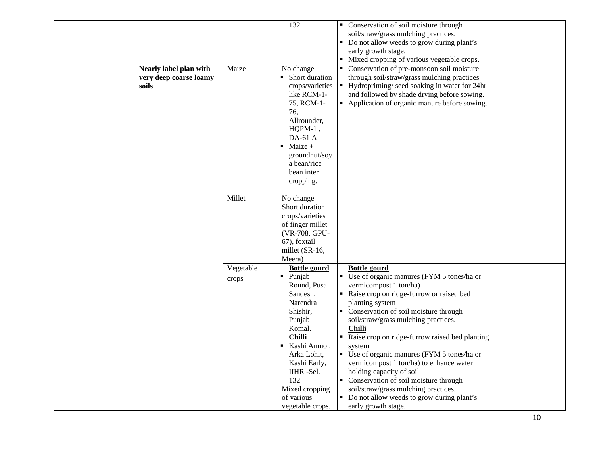|                        |           | 132                    | • Conservation of soil moisture through        |  |
|------------------------|-----------|------------------------|------------------------------------------------|--|
|                        |           |                        | soil/straw/grass mulching practices.           |  |
|                        |           |                        | • Do not allow weeds to grow during plant's    |  |
|                        |           |                        | early growth stage.                            |  |
|                        |           |                        | • Mixed cropping of various vegetable crops.   |  |
| Nearly label plan with | Maize     | No change              | • Conservation of pre-monsoon soil moisture    |  |
| very deep coarse loamy |           | • Short duration       | through soil/straw/grass mulching practices    |  |
| soils                  |           | crops/varieties        | • Hydropriming/seed soaking in water for 24hr  |  |
|                        |           | like RCM-1-            | and followed by shade drying before sowing.    |  |
|                        |           | 75, RCM-1-             | • Application of organic manure before sowing. |  |
|                        |           | 76,                    |                                                |  |
|                        |           | Allrounder,            |                                                |  |
|                        |           | HQPM-1,                |                                                |  |
|                        |           | $DA-61A$               |                                                |  |
|                        |           | $\blacksquare$ Maize + |                                                |  |
|                        |           | groundnut/soy          |                                                |  |
|                        |           | a bean/rice            |                                                |  |
|                        |           | bean inter             |                                                |  |
|                        |           | cropping.              |                                                |  |
|                        |           |                        |                                                |  |
|                        | Millet    | No change              |                                                |  |
|                        |           | Short duration         |                                                |  |
|                        |           | crops/varieties        |                                                |  |
|                        |           | of finger millet       |                                                |  |
|                        |           | (VR-708, GPU-          |                                                |  |
|                        |           | 67), foxtail           |                                                |  |
|                        |           | millet (SR-16,         |                                                |  |
|                        |           | Meera)                 |                                                |  |
|                        | Vegetable | <b>Bottle gourd</b>    | <b>Bottle gourd</b>                            |  |
|                        | crops     | · Punjab               | • Use of organic manures (FYM 5 tones/ha or    |  |
|                        |           | Round, Pusa            | vermicompost 1 ton/ha)                         |  |
|                        |           | Sandesh,               | Raise crop on ridge-furrow or raised bed       |  |
|                        |           | Narendra               | planting system                                |  |
|                        |           | Shishir,               | • Conservation of soil moisture through        |  |
|                        |           | Punjab                 | soil/straw/grass mulching practices.           |  |
|                        |           | Komal.                 | Chilli                                         |  |
|                        |           | <b>Chilli</b>          | Raise crop on ridge-furrow raised bed planting |  |
|                        |           | Kashi Anmol,<br>٠      | system                                         |  |
|                        |           | Arka Lohit,            | • Use of organic manures (FYM 5 tones/ha or    |  |
|                        |           | Kashi Early,           | vermicompost 1 ton/ha) to enhance water        |  |
|                        |           | IIHR -Sel.             | holding capacity of soil                       |  |
|                        |           | 132                    | • Conservation of soil moisture through        |  |
|                        |           | Mixed cropping         | soil/straw/grass mulching practices.           |  |
|                        |           | of various             | • Do not allow weeds to grow during plant's    |  |
|                        |           | vegetable crops.       | early growth stage.                            |  |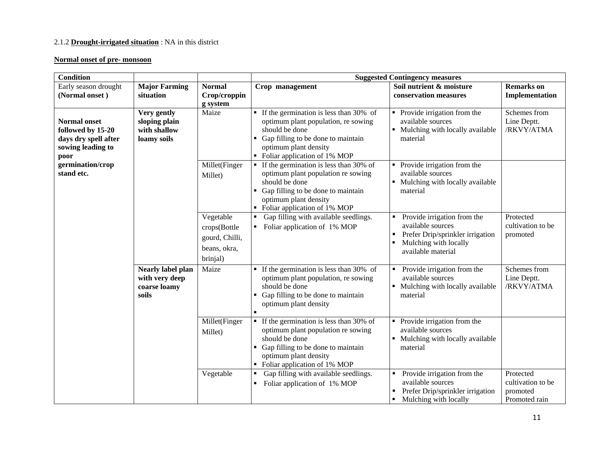# 2.1.2 **Drought-irrigated situation** : NA in this district

#### **Normal onset of pre- monsoon**

| <b>Condition</b>                                                                              |                                                                     |                                                                         |                                                                                                                                                                                                                  | <b>Suggested Contingency measures</b>                                                                                               |                                                             |
|-----------------------------------------------------------------------------------------------|---------------------------------------------------------------------|-------------------------------------------------------------------------|------------------------------------------------------------------------------------------------------------------------------------------------------------------------------------------------------------------|-------------------------------------------------------------------------------------------------------------------------------------|-------------------------------------------------------------|
| Early season drought<br>(Normal onset)                                                        | <b>Major Farming</b><br>situation                                   | <b>Normal</b><br>Crop/croppin<br>g system                               | Crop management                                                                                                                                                                                                  | Soil nutrient & moisture<br>conservation measures                                                                                   | <b>Remarks</b> on<br>Implementation                         |
| <b>Normal onset</b><br>followed by 15-20<br>days dry spell after<br>sowing leading to<br>poor | Very gently<br>sloping plain<br>with shallow<br>loamy soils         | Maize                                                                   | $\blacksquare$ If the germination is less than 30% of<br>optimum plant population, re sowing<br>should be done<br>Gap filling to be done to maintain<br>optimum plant density<br>• Foliar application of 1% MOP  | • Provide irrigation from the<br>available sources<br>• Mulching with locally available<br>material                                 | Schemes from<br>Line Deptt.<br>/RKVY/ATMA                   |
| germination/crop<br>stand etc.                                                                |                                                                     | Millet(Finger<br>Millet)                                                | $\blacksquare$ If the germination is less than 30% of<br>optimum plant population re sowing<br>should be done<br>Gap filling to be done to maintain<br>optimum plant density<br>• Foliar application of 1% MOP   | Provide irrigation from the<br>available sources<br>Mulching with locally available<br>material                                     |                                                             |
|                                                                                               |                                                                     | Vegetable<br>crops(Bottle<br>gourd, Chilli,<br>beans, okra,<br>brinjal) | Gap filling with available seedlings.<br>$\blacksquare$<br>Foliar application of 1% MOP                                                                                                                          | Provide irrigation from the<br>available sources<br>Prefer Drip/sprinkler irrigation<br>Mulching with locally<br>available material | Protected<br>cultivation to be<br>promoted                  |
|                                                                                               | <b>Nearly label plan</b><br>with very deep<br>coarse loamy<br>soils | Maize                                                                   | If the germination is less than 30% of<br>$\blacksquare$<br>optimum plant population, re sowing<br>should be done<br>• Gap filling to be done to maintain<br>optimum plant density<br>$\blacksquare$             | Provide irrigation from the<br>available sources<br>Mulching with locally available<br>material                                     | Schemes from<br>Line Deptt.<br>/RKVY/ATMA                   |
|                                                                                               |                                                                     | Millet(Finger<br>Millet)                                                | $\blacksquare$ If the germination is less than 30% of<br>optimum plant population re sowing<br>should be done<br>• Gap filling to be done to maintain<br>optimum plant density<br>• Foliar application of 1% MOP | Provide irrigation from the<br>٠<br>available sources<br>• Mulching with locally available<br>material                              |                                                             |
|                                                                                               |                                                                     | Vegetable                                                               | Gap filling with available seedlings.<br>Foliar application of 1% MOP                                                                                                                                            | Provide irrigation from the<br>available sources<br>Prefer Drip/sprinkler irrigation<br>Mulching with locally<br>٠                  | Protected<br>cultivation to be<br>promoted<br>Promoted rain |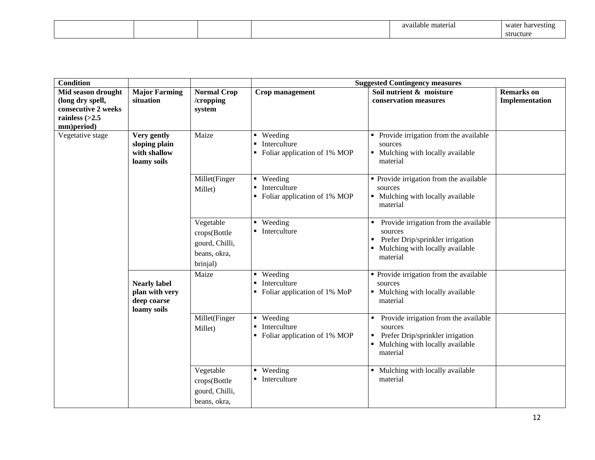|  |  | $\sim$<br>0.176<br>material<br>available | water<br>· harvestini<br>vv ci |
|--|--|------------------------------------------|--------------------------------|
|  |  |                                          | structure                      |

| <b>Condition</b>               |                      |                    |                                                                | <b>Suggested Contingency measures</b>             |                   |
|--------------------------------|----------------------|--------------------|----------------------------------------------------------------|---------------------------------------------------|-------------------|
| Mid season drought             | <b>Major Farming</b> | <b>Normal Crop</b> | Crop management                                                | Soil nutrient & moisture                          | <b>Remarks</b> on |
| (long dry spell,               | situation            | /cropping          |                                                                | conservation measures                             | Implementation    |
| consecutive 2 weeks            |                      | system             |                                                                |                                                   |                   |
| rainless $(>2.5$<br>mm)period) |                      |                    |                                                                |                                                   |                   |
| Vegetative stage               | Very gently          | Maize              | • Weeding                                                      | • Provide irrigation from the available           |                   |
|                                | sloping plain        |                    | $\blacksquare$ Interculture                                    | sources                                           |                   |
|                                | with shallow         |                    | Foliar application of 1% MOP                                   | • Mulching with locally available                 |                   |
|                                | loamy soils          |                    |                                                                | material                                          |                   |
|                                |                      |                    |                                                                |                                                   |                   |
|                                |                      | Millet(Finger      | • Weeding                                                      | • Provide irrigation from the available           |                   |
|                                |                      | Millet)            | Interculture<br>$\blacksquare$<br>Foliar application of 1% MOP | sources<br>• Mulching with locally available      |                   |
|                                |                      |                    |                                                                | material                                          |                   |
|                                |                      |                    |                                                                |                                                   |                   |
|                                |                      | Vegetable          | • Weeding                                                      | Provide irrigation from the available<br>٠        |                   |
|                                |                      | crops(Bottle       | • Interculture                                                 | sources                                           |                   |
|                                |                      | gourd, Chilli,     |                                                                | Prefer Drip/sprinkler irrigation                  |                   |
|                                |                      | beans, okra,       |                                                                | Mulching with locally available                   |                   |
|                                |                      | brinjal)           |                                                                | material                                          |                   |
|                                |                      | Maize              | • Weeding                                                      | • Provide irrigation from the available           |                   |
|                                | <b>Nearly label</b>  |                    | • Interculture                                                 | sources                                           |                   |
|                                | plan with very       |                    | • Foliar application of 1% MoP                                 | • Mulching with locally available                 |                   |
|                                | deep coarse          |                    |                                                                | material                                          |                   |
|                                | loamy soils          |                    |                                                                |                                                   |                   |
|                                |                      | Millet(Finger      | • Weeding<br>$\blacksquare$                                    | Provide irrigation from the available             |                   |
|                                |                      | Millet)            | Interculture<br>• Foliar application of 1% MOP                 | sources<br>Prefer Drip/sprinkler irrigation       |                   |
|                                |                      |                    |                                                                | Mulching with locally available<br>٠              |                   |
|                                |                      |                    |                                                                | material                                          |                   |
|                                |                      |                    |                                                                |                                                   |                   |
|                                |                      | Vegetable          | • Weeding                                                      | Mulching with locally available<br>$\blacksquare$ |                   |
|                                |                      | crops(Bottle       | $\blacksquare$ Interculture                                    | material                                          |                   |
|                                |                      | gourd, Chilli,     |                                                                |                                                   |                   |
|                                |                      | beans, okra,       |                                                                |                                                   |                   |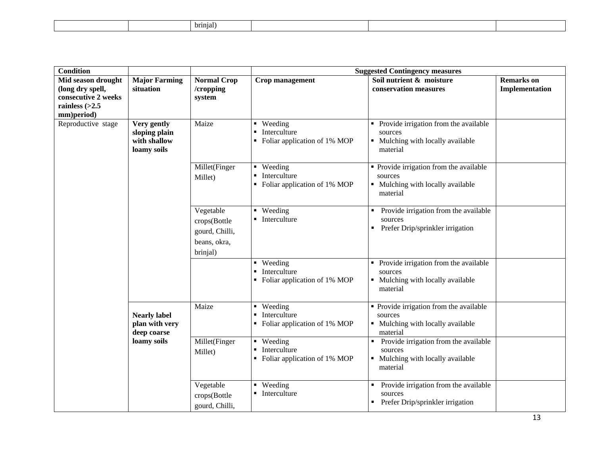|  | brinial. |  |
|--|----------|--|
|--|----------|--|

| <b>Condition</b>                                                                                |                                                             |                                                                         |                                                                               | <b>Suggested Contingency measures</b>                                                               |                                     |
|-------------------------------------------------------------------------------------------------|-------------------------------------------------------------|-------------------------------------------------------------------------|-------------------------------------------------------------------------------|-----------------------------------------------------------------------------------------------------|-------------------------------------|
| Mid season drought<br>(long dry spell,<br>consecutive 2 weeks<br>rainless $(>2.5$<br>mm)period) | <b>Major Farming</b><br>situation                           | <b>Normal Crop</b><br>/cropping<br>system                               | Crop management                                                               | Soil nutrient & moisture<br>conservation measures                                                   | <b>Remarks</b> on<br>Implementation |
| Reproductive stage                                                                              | Very gently<br>sloping plain<br>with shallow<br>loamy soils | Maize                                                                   | Weeding<br>Interculture<br>• Foliar application of 1% MOP                     | Provide irrigation from the available<br>sources<br>• Mulching with locally available<br>material   |                                     |
|                                                                                                 |                                                             | Millet(Finger<br>Millet)                                                | $\blacksquare$ Weeding<br>Interculture<br>• Foliar application of 1% MOP      | • Provide irrigation from the available<br>sources<br>• Mulching with locally available<br>material |                                     |
|                                                                                                 |                                                             | Vegetable<br>crops(Bottle<br>gourd, Chilli,<br>beans, okra,<br>brinjal) | • Weeding<br>$\blacksquare$ Interculture                                      | Provide irrigation from the available<br>sources<br>Prefer Drip/sprinkler irrigation<br>٠           |                                     |
|                                                                                                 |                                                             |                                                                         | Weeding<br>$\blacksquare$<br>Interculture<br>• Foliar application of 1% MOP   | • Provide irrigation from the available<br>sources<br>• Mulching with locally available<br>material |                                     |
|                                                                                                 | <b>Nearly label</b><br>plan with very<br>deep coarse        | Maize                                                                   | • Weeding<br>Interculture<br>• Foliar application of 1% MOP                   | • Provide irrigation from the available<br>sources<br>• Mulching with locally available<br>material |                                     |
|                                                                                                 | loamy soils                                                 | Millet(Finger<br>Millet)                                                | • Weeding<br>Interculture<br>$\blacksquare$<br>• Foliar application of 1% MOP | Provide irrigation from the available<br>sources<br>• Mulching with locally available<br>material   |                                     |
|                                                                                                 |                                                             | Vegetable<br>crops(Bottle<br>gourd, Chilli,                             | Weeding<br>$\blacksquare$ Interculture                                        | Provide irrigation from the available<br>sources<br>Prefer Drip/sprinkler irrigation                |                                     |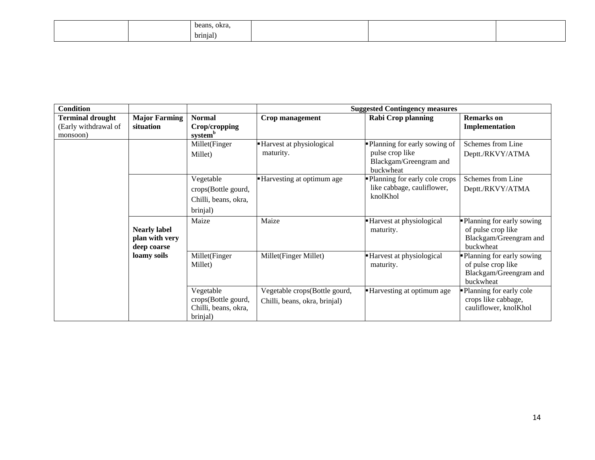|  | beans, okra,          |  |  |
|--|-----------------------|--|--|
|  | $\cdot$ .<br>brinjal) |  |  |

| <b>Condition</b>                                            |                                                      |                                                                      |                                                                | <b>Suggested Contingency measures</b>                                                    |                                                                                          |
|-------------------------------------------------------------|------------------------------------------------------|----------------------------------------------------------------------|----------------------------------------------------------------|------------------------------------------------------------------------------------------|------------------------------------------------------------------------------------------|
| <b>Terminal drought</b><br>(Early withdrawal of<br>monsoon) | <b>Major Farming</b><br>situation                    | <b>Normal</b><br>Crop/cropping<br>system <sup>b</sup>                | Crop management                                                | <b>Rabi Crop planning</b>                                                                | <b>Remarks</b> on<br>Implementation                                                      |
|                                                             |                                                      | Millet(Finger<br>Millet)                                             | - Harvest at physiological<br>maturity.                        | • Planning for early sowing of<br>pulse crop like<br>Blackgam/Greengram and<br>buckwheat | Schemes from Line<br>Deptt./RKVY/ATMA                                                    |
|                                                             |                                                      | Vegetable<br>crops(Bottle gourd,<br>Chilli, beans, okra,<br>brinjal) | Harvesting at optimum age                                      | • Planning for early cole crops<br>like cabbage, cauliflower,<br>knolKhol                | Schemes from Line<br>Deptt./RKVY/ATMA                                                    |
|                                                             | <b>Nearly label</b><br>plan with very<br>deep coarse | Maize                                                                | Maize                                                          | - Harvest at physiological<br>maturity.                                                  | Planning for early sowing<br>of pulse crop like<br>Blackgam/Greengram and<br>buckwheat   |
|                                                             | loamy soils                                          | Millet(Finger<br>Millet)                                             | Millet(Finger Millet)                                          | - Harvest at physiological<br>maturity.                                                  | • Planning for early sowing<br>of pulse crop like<br>Blackgam/Greengram and<br>buckwheat |
|                                                             |                                                      | Vegetable<br>crops(Bottle gourd,<br>Chilli, beans, okra,<br>brinjal) | Vegetable crops(Bottle gourd,<br>Chilli, beans, okra, brinjal) | Harvesting at optimum age                                                                | -Planning for early cole<br>crops like cabbage,<br>cauliflower, knolKhol                 |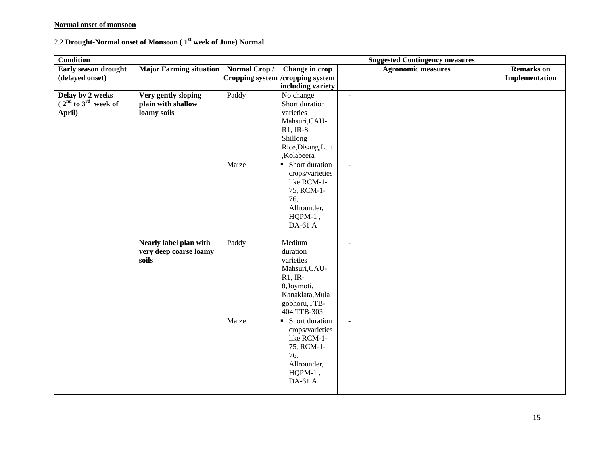# **Normal onset of monsoon**

# 2.2 **Drought-Normal onset of Monsoon ( 1st week of June) Normal**

| <b>Condition</b>        |                                |              |                                   | <b>Suggested Contingency measures</b> |                   |
|-------------------------|--------------------------------|--------------|-----------------------------------|---------------------------------------|-------------------|
| Early season drought    | <b>Major Farming situation</b> | Normal Crop/ | Change in crop                    | <b>Agronomic measures</b>             | <b>Remarks</b> on |
| (delayed onset)         |                                |              | Cropping system / cropping system |                                       | Implementation    |
|                         |                                |              | including variety                 |                                       |                   |
| Delay by 2 weeks        | Very gently sloping            | Paddy        | No change                         | $\overline{\phantom{a}}$              |                   |
| $(2nd$ to $3rd$ week of | plain with shallow             |              | Short duration                    |                                       |                   |
| April)                  | loamy soils                    |              | varieties                         |                                       |                   |
|                         |                                |              | Mahsuri, CAU-                     |                                       |                   |
|                         |                                |              | $R1, IR-8,$                       |                                       |                   |
|                         |                                |              | Shillong<br>Rice, Disang, Luit    |                                       |                   |
|                         |                                |              | ,Kolabeera                        |                                       |                   |
|                         |                                | Maize        | • Short duration                  |                                       |                   |
|                         |                                |              | crops/varieties                   | $\blacksquare$                        |                   |
|                         |                                |              | like RCM-1-                       |                                       |                   |
|                         |                                |              | 75, RCM-1-                        |                                       |                   |
|                         |                                |              | 76,                               |                                       |                   |
|                         |                                |              | Allrounder,                       |                                       |                   |
|                         |                                |              | $HQPM-1$ ,                        |                                       |                   |
|                         |                                |              | DA-61 A                           |                                       |                   |
|                         |                                |              |                                   |                                       |                   |
|                         | Nearly label plan with         | Paddy        | Medium                            | $\blacksquare$                        |                   |
|                         | very deep coarse loamy         |              | duration                          |                                       |                   |
|                         | soils                          |              | varieties                         |                                       |                   |
|                         |                                |              | Mahsuri, CAU-                     |                                       |                   |
|                         |                                |              | $R1, IR-$                         |                                       |                   |
|                         |                                |              | 8,Joymoti,                        |                                       |                   |
|                         |                                |              | Kanaklata, Mula                   |                                       |                   |
|                         |                                |              | gobhoru, TTB-                     |                                       |                   |
|                         |                                |              | 404,TTB-303                       |                                       |                   |
|                         |                                | Maize        | • Short duration                  | $\mathbf{r}$                          |                   |
|                         |                                |              | crops/varieties<br>like RCM-1-    |                                       |                   |
|                         |                                |              | 75, RCM-1-                        |                                       |                   |
|                         |                                |              | 76,                               |                                       |                   |
|                         |                                |              | Allrounder,                       |                                       |                   |
|                         |                                |              | $HQPM-1$ ,                        |                                       |                   |
|                         |                                |              | DA-61 A                           |                                       |                   |
|                         |                                |              |                                   |                                       |                   |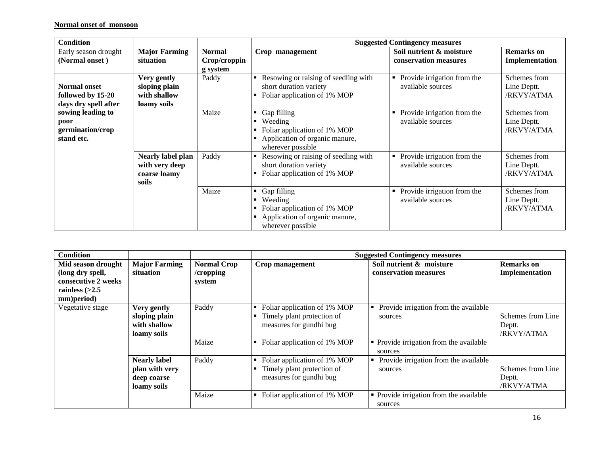| <b>Condition</b>                                                 |                                                                     |                                           |                                                                                                                     | <b>Suggested Contingency measures</b>                 |                                           |
|------------------------------------------------------------------|---------------------------------------------------------------------|-------------------------------------------|---------------------------------------------------------------------------------------------------------------------|-------------------------------------------------------|-------------------------------------------|
| Early season drought<br>(Normal onset)                           | <b>Major Farming</b><br>situation                                   | <b>Normal</b><br>Crop/croppin<br>g system | Crop management                                                                                                     | Soil nutrient & moisture<br>conservation measures     | <b>Remarks</b> on<br>Implementation       |
| <b>Normal onset</b><br>followed by 15-20<br>days dry spell after | Very gently<br>sloping plain<br>with shallow<br>loamy soils         | Paddy                                     | Resowing or raising of seedling with<br>short duration variety<br>Foliar application of 1% MOP                      | Provide irrigation from the<br>٠<br>available sources | Schemes from<br>Line Deptt.<br>/RKVY/ATMA |
| sowing leading to<br>poor<br>germination/crop<br>stand etc.      |                                                                     | Maize                                     | Gap filling<br>п.<br>Weeding<br>Foliar application of 1% MOP<br>Application of organic manure,<br>wherever possible | Provide irrigation from the<br>٠<br>available sources | Schemes from<br>Line Deptt.<br>/RKVY/ATMA |
|                                                                  | <b>Nearly label plan</b><br>with very deep<br>coarse loamy<br>soils | Paddy                                     | Resowing or raising of seedling with<br>short duration variety<br>Foliar application of 1% MOP                      | Provide irrigation from the<br>٠<br>available sources | Schemes from<br>Line Deptt.<br>/RKVY/ATMA |
|                                                                  |                                                                     | Maize                                     | Gap filling<br>Weeding<br>Foliar application of 1% MOP<br>Application of organic manure,<br>wherever possible       | Provide irrigation from the<br>available sources      | Schemes from<br>Line Deptt.<br>/RKVY/ATMA |

| <b>Condition</b>                                                                                |                                                                     |                                           | <b>Suggested Contingency measures</b>                                                 |                                                    |                                           |  |
|-------------------------------------------------------------------------------------------------|---------------------------------------------------------------------|-------------------------------------------|---------------------------------------------------------------------------------------|----------------------------------------------------|-------------------------------------------|--|
| Mid season drought<br>(long dry spell,<br>consecutive 2 weeks<br>rainless $(>2.5$<br>mm)period) | <b>Major Farming</b><br>situation                                   | <b>Normal Crop</b><br>/cropping<br>system | Crop management                                                                       | Soil nutrient & moisture<br>conservation measures  | <b>Remarks</b> on<br>Implementation       |  |
| Vegetative stage                                                                                | Very gently<br>sloping plain<br>with shallow<br>loamy soils         | Paddy                                     | Foliar application of 1% MOP<br>Timely plant protection of<br>measures for gundhi bug | Provide irrigation from the available<br>sources   | Schemes from Line<br>Deptt.<br>/RKVY/ATMA |  |
|                                                                                                 |                                                                     | Maize                                     | Foliar application of 1% MOP                                                          | • Provide irrigation from the available<br>sources |                                           |  |
|                                                                                                 | <b>Nearly label</b><br>plan with very<br>deep coarse<br>loamy soils | Paddy                                     | Foliar application of 1% MOP<br>Timely plant protection of<br>measures for gundhi bug | Provide irrigation from the available<br>sources   | Schemes from Line<br>Deptt.<br>/RKVY/ATMA |  |
|                                                                                                 |                                                                     | Maize                                     | Foliar application of 1% MOP                                                          | • Provide irrigation from the available<br>sources |                                           |  |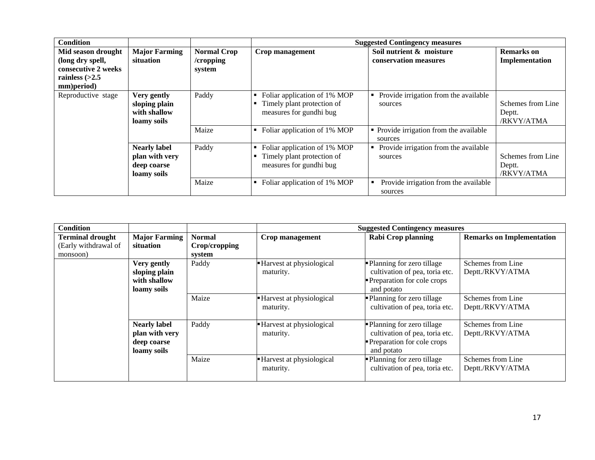| <b>Condition</b>                                                                                |                                                                     |                                           | <b>Suggested Contingency measures</b>                                                 |                                                    |                                           |  |
|-------------------------------------------------------------------------------------------------|---------------------------------------------------------------------|-------------------------------------------|---------------------------------------------------------------------------------------|----------------------------------------------------|-------------------------------------------|--|
| Mid season drought<br>(long dry spell,<br>consecutive 2 weeks<br>rainless $(>2.5$<br>mm)period) | <b>Major Farming</b><br>situation                                   | <b>Normal Crop</b><br>/cropping<br>system | Crop management                                                                       | Soil nutrient & moisture<br>conservation measures  | <b>Remarks</b> on<br>Implementation       |  |
| Reproductive stage                                                                              | Very gently<br>sloping plain<br>with shallow<br>loamy soils         | Paddy                                     | Foliar application of 1% MOP<br>Timely plant protection of<br>measures for gundhi bug | Provide irrigation from the available<br>sources   | Schemes from Line<br>Deptt.<br>/RKVY/ATMA |  |
|                                                                                                 |                                                                     | Maize                                     | Foliar application of 1% MOP                                                          | • Provide irrigation from the available<br>sources |                                           |  |
|                                                                                                 | <b>Nearly label</b><br>plan with very<br>deep coarse<br>loamy soils | Paddy                                     | Foliar application of 1% MOP<br>Timely plant protection of<br>measures for gundhi bug | Provide irrigation from the available<br>sources   | Schemes from Line<br>Deptt.<br>/RKVY/ATMA |  |
|                                                                                                 |                                                                     | Maize                                     | Foliar application of 1% MOP                                                          | Provide irrigation from the available<br>sources   |                                           |  |

| <b>Condition</b>                                            |                                                                     |                                          |                                       | <b>Suggested Contingency measures</b>                                                                     |                                       |
|-------------------------------------------------------------|---------------------------------------------------------------------|------------------------------------------|---------------------------------------|-----------------------------------------------------------------------------------------------------------|---------------------------------------|
| <b>Terminal drought</b><br>(Early withdrawal of<br>monsoon) | <b>Major Farming</b><br>situation                                   | <b>Normal</b><br>Crop/cropping<br>system | Crop management                       | <b>Rabi Crop planning</b>                                                                                 | <b>Remarks on Implementation</b>      |
|                                                             | Very gently<br>sloping plain<br>with shallow<br>loamy soils         | Paddy                                    | Harvest at physiological<br>maturity. | • Planning for zero tillage<br>cultivation of pea, toria etc.<br>Preparation for cole crops<br>and potato | Schemes from Line<br>Deptt./RKVY/ATMA |
|                                                             |                                                                     | Maize                                    | Harvest at physiological<br>maturity. | • Planning for zero tillage<br>cultivation of pea, toria etc.                                             | Schemes from Line<br>Deptt./RKVY/ATMA |
|                                                             | <b>Nearly label</b><br>plan with very<br>deep coarse<br>loamy soils | Paddy                                    | Harvest at physiological<br>maturity. | • Planning for zero tillage<br>cultivation of pea, toria etc.<br>Preparation for cole crops<br>and potato | Schemes from Line<br>Deptt./RKVY/ATMA |
|                                                             |                                                                     | Maize                                    | Harvest at physiological<br>maturity. | Planning for zero tillage<br>cultivation of pea, toria etc.                                               | Schemes from Line<br>Deptt./RKVY/ATMA |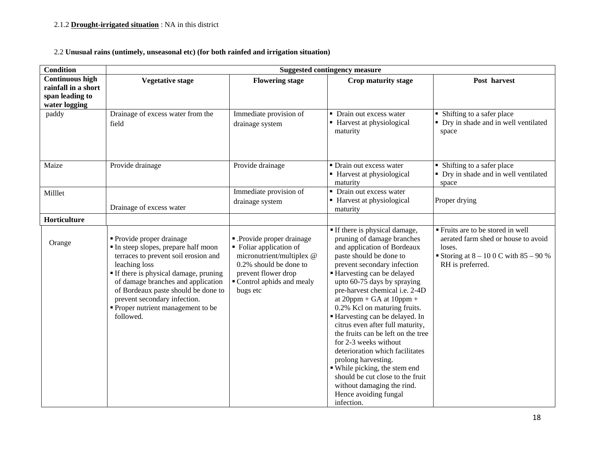# 2.2 **Unusual rains (untimely, unseasonal etc) (for both rainfed and irrigation situation)**

| <b>Condition</b>                                                                  | <b>Suggested contingency measure</b>                                                                                                                                                                                                                                                                                           |                                                                                                                                                                            |                                                                                                                                                                                                                                                                                                                                                                                                                                                                                                                                                                                                                                                             |                                                                                                                                                 |  |
|-----------------------------------------------------------------------------------|--------------------------------------------------------------------------------------------------------------------------------------------------------------------------------------------------------------------------------------------------------------------------------------------------------------------------------|----------------------------------------------------------------------------------------------------------------------------------------------------------------------------|-------------------------------------------------------------------------------------------------------------------------------------------------------------------------------------------------------------------------------------------------------------------------------------------------------------------------------------------------------------------------------------------------------------------------------------------------------------------------------------------------------------------------------------------------------------------------------------------------------------------------------------------------------------|-------------------------------------------------------------------------------------------------------------------------------------------------|--|
| <b>Continuous high</b><br>rainfall in a short<br>span leading to<br>water logging | <b>Vegetative stage</b>                                                                                                                                                                                                                                                                                                        | <b>Flowering stage</b>                                                                                                                                                     | Crop maturity stage                                                                                                                                                                                                                                                                                                                                                                                                                                                                                                                                                                                                                                         | Post harvest                                                                                                                                    |  |
| paddy                                                                             | Drainage of excess water from the<br>field                                                                                                                                                                                                                                                                                     | Immediate provision of<br>drainage system                                                                                                                                  | • Drain out excess water<br>■ Harvest at physiological<br>maturity                                                                                                                                                                                                                                                                                                                                                                                                                                                                                                                                                                                          | • Shifting to a safer place<br>• Dry in shade and in well ventilated<br>space                                                                   |  |
| Maize                                                                             | Provide drainage                                                                                                                                                                                                                                                                                                               | Provide drainage                                                                                                                                                           | • Drain out excess water<br>■ Harvest at physiological<br>maturity                                                                                                                                                                                                                                                                                                                                                                                                                                                                                                                                                                                          | • Shifting to a safer place<br>• Dry in shade and in well ventilated<br>space                                                                   |  |
| Milllet                                                                           | Drainage of excess water                                                                                                                                                                                                                                                                                                       | Immediate provision of<br>drainage system                                                                                                                                  | • Drain out excess water<br>■ Harvest at physiological<br>maturity                                                                                                                                                                                                                                                                                                                                                                                                                                                                                                                                                                                          | Proper drying                                                                                                                                   |  |
| Horticulture                                                                      |                                                                                                                                                                                                                                                                                                                                |                                                                                                                                                                            |                                                                                                                                                                                                                                                                                                                                                                                                                                                                                                                                                                                                                                                             |                                                                                                                                                 |  |
| Orange                                                                            | • Provide proper drainage<br>In steep slopes, prepare half moon<br>terraces to prevent soil erosion and<br>leaching loss<br>If there is physical damage, pruning<br>of damage branches and application<br>of Bordeaux paste should be done to<br>prevent secondary infection.<br>Proper nutrient management to be<br>followed. | - Provide proper drainage<br>• Foliar application of<br>micronutrient/multiplex @<br>0.2% should be done to<br>prevent flower drop<br>Control aphids and mealy<br>bugs etc | If there is physical damage,<br>pruning of damage branches<br>and application of Bordeaux<br>paste should be done to<br>prevent secondary infection<br>Harvesting can be delayed<br>upto 60-75 days by spraying<br>pre-harvest chemical i.e. 2-4D<br>at $20$ ppm + GA at $10$ ppm +<br>0.2% Kcl on maturing fruits.<br>Harvesting can be delayed. In<br>citrus even after full maturity,<br>the fruits can be left on the tree<br>for 2-3 weeks without<br>deterioration which facilitates<br>prolong harvesting.<br>• While picking, the stem end<br>should be cut close to the fruit<br>without damaging the rind.<br>Hence avoiding fungal<br>infection. | Fruits are to be stored in well<br>aerated farm shed or house to avoid<br>loses.<br>Storing at $8 - 100$ C with $85 - 90$ %<br>RH is preferred. |  |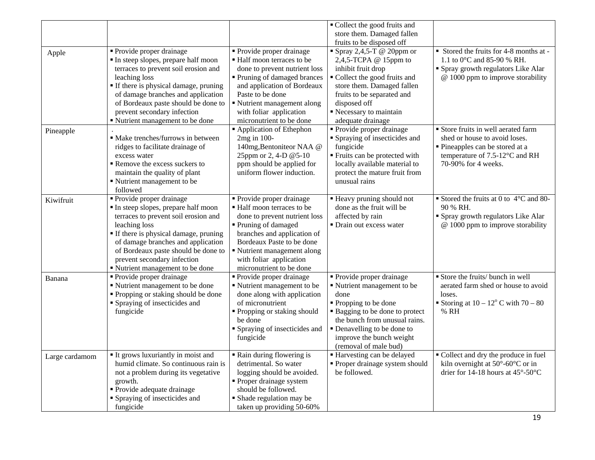|                |                                                                            |                                                         | • Collect the good fruits and                                          |                                                        |
|----------------|----------------------------------------------------------------------------|---------------------------------------------------------|------------------------------------------------------------------------|--------------------------------------------------------|
|                |                                                                            |                                                         | store them. Damaged fallen                                             |                                                        |
|                |                                                                            |                                                         | fruits to be disposed off                                              |                                                        |
| Apple          | • Provide proper drainage                                                  | • Provide proper drainage                               | Spray 2,4,5-T @ 20ppm or                                               | Stored the fruits for 4-8 months at -                  |
|                | In steep slopes, prepare half moon                                         | ■ Half moon terraces to be                              | 2,4,5-TCPA @ 15ppm to                                                  | 1.1 to 0°C and 85-90 % RH.                             |
|                | terraces to prevent soil erosion and                                       | done to prevent nutrient loss                           | inhibit fruit drop                                                     | • Spray growth regulators Like Alar                    |
|                | leaching loss                                                              | • Pruning of damaged brances                            | Collect the good fruits and                                            | @ 1000 ppm to improve storability                      |
|                | If there is physical damage, pruning                                       | and application of Bordeaux                             | store them. Damaged fallen                                             |                                                        |
|                | of damage branches and application                                         | Paste to be done                                        | fruits to be separated and                                             |                                                        |
|                | of Bordeaux paste should be done to                                        | Nutrient management along                               | disposed off                                                           |                                                        |
|                | prevent secondary infection                                                | with foliar application                                 | Recessary to maintain                                                  |                                                        |
|                | ■ Nutrient management to be done                                           | micronutrient to be done                                | adequate drainage                                                      |                                                        |
| Pineapple      |                                                                            | Application of Ethephon                                 | Provide proper drainage                                                | Store fruits in well aerated farm                      |
|                | · Make trenches/furrows in between                                         | 2mg in 100-                                             | • Spraying of insecticides and                                         | shed or house to avoid loses.                          |
|                | ridges to facilitate drainage of                                           | 140mg, Bentoniteor NAA @                                | fungicide                                                              | Pineapples can be stored at a                          |
|                | excess water                                                               | 25ppm or 2, 4-D @5-10                                   | " Fruits can be protected with                                         | temperature of 7.5-12°C and RH                         |
|                | Remove the excess suckers to                                               | ppm should be applied for                               | locally available material to                                          | 70-90% for 4 weeks.                                    |
|                | maintain the quality of plant                                              | uniform flower induction.                               | protect the mature fruit from                                          |                                                        |
|                | Nutrient management to be                                                  |                                                         | unusual rains                                                          |                                                        |
|                | followed                                                                   |                                                         |                                                                        |                                                        |
| Kiwifruit      | Provide proper drainage                                                    | • Provide proper drainage<br>• Half moon terraces to be | <b>Example 1</b> Heavy pruning should not<br>done as the fruit will be | Stored the fruits at 0 to $4^{\circ}$ C and 80-        |
|                | In steep slopes, prepare half moon<br>terraces to prevent soil erosion and | done to prevent nutrient loss                           | affected by rain                                                       | 90 % RH.<br>• Spray growth regulators Like Alar        |
|                | leaching loss                                                              | Pruning of damaged                                      | • Drain out excess water                                               | $@$ 1000 ppm to improve storability                    |
|                | If there is physical damage, pruning                                       | branches and application of                             |                                                                        |                                                        |
|                | of damage branches and application                                         | Bordeaux Paste to be done                               |                                                                        |                                                        |
|                | of Bordeaux paste should be done to                                        | Nutrient management along                               |                                                                        |                                                        |
|                | prevent secondary infection                                                | with foliar application                                 |                                                                        |                                                        |
|                | " Nutrient management to be done                                           | micronutrient to be done                                |                                                                        |                                                        |
| Banana         | • Provide proper drainage                                                  | • Provide proper drainage                               | • Provide proper drainage                                              | Store the fruits/ bunch in well                        |
|                | " Nutrient management to be done                                           | Nutrient management to be                               | ■ Nutrient management to be                                            | aerated farm shed or house to avoid                    |
|                | • Propping or staking should be done                                       | done along with application                             | done                                                                   | loses.                                                 |
|                | • Spraying of insecticides and                                             | of micronutrient                                        | ■ Propping to be done                                                  | Storing at $10 - 12^{\circ}$ C with $70 - 80$          |
|                | fungicide                                                                  | Propping or staking should                              | • Bagging to be done to protect                                        | % RH                                                   |
|                |                                                                            | be done                                                 | the bunch from unusual rains.                                          |                                                        |
|                |                                                                            | <b>Spraying of insecticides and</b>                     | • Denavelling to be done to                                            |                                                        |
|                |                                                                            | fungicide                                               | improve the bunch weight                                               |                                                        |
|                |                                                                            |                                                         | (removal of male bud)                                                  |                                                        |
| Large cardamom | It grows luxuriantly in moist and                                          | • Rain during flowering is                              | Harvesting can be delayed                                              | • Collect and dry the produce in fuel                  |
|                | humid climate. So continuous rain is                                       | detrimental. So water                                   | • Proper drainage system should                                        | kiln overnight at 50°-60°C or in                       |
|                | not a problem during its vegetative                                        | logging should be avoided.                              | be followed.                                                           | drier for 14-18 hours at $45^{\circ}$ -50 $^{\circ}$ C |
|                | growth.                                                                    | • Proper drainage system                                |                                                                        |                                                        |
|                | • Provide adequate drainage                                                | should be followed.                                     |                                                                        |                                                        |
|                | • Spraying of insecticides and                                             | • Shade regulation may be                               |                                                                        |                                                        |
|                | fungicide                                                                  | taken up providing 50-60%                               |                                                                        |                                                        |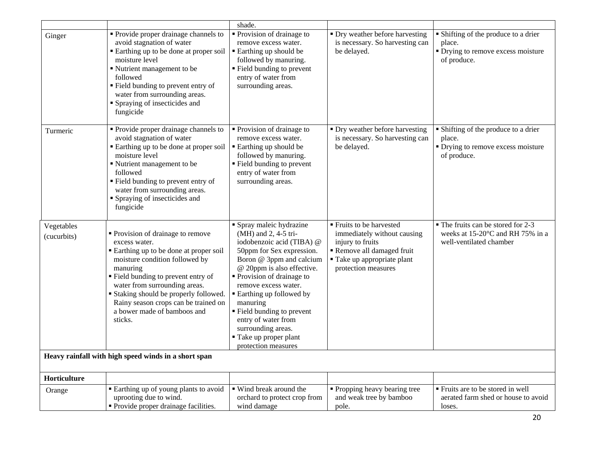|                                                      |                                                                                                                                                                                                                                                                                                                                                    | shade.                                                                                                                                                                                                                                                                                                                                                                                             |                                                                                                                                                             |                                                                                                                          |  |
|------------------------------------------------------|----------------------------------------------------------------------------------------------------------------------------------------------------------------------------------------------------------------------------------------------------------------------------------------------------------------------------------------------------|----------------------------------------------------------------------------------------------------------------------------------------------------------------------------------------------------------------------------------------------------------------------------------------------------------------------------------------------------------------------------------------------------|-------------------------------------------------------------------------------------------------------------------------------------------------------------|--------------------------------------------------------------------------------------------------------------------------|--|
| Ginger                                               | • Provide proper drainage channels to<br>avoid stagnation of water<br>Earthing up to be done at proper soil<br>moisture level<br>Nutrient management to be<br>followed<br>" Field bunding to prevent entry of<br>water from surrounding areas.<br>Spraying of insecticides and<br>fungicide                                                        | • Provision of drainage to<br>remove excess water.<br>■ Earthing up should be<br>followed by manuring.<br>" Field bunding to prevent<br>entry of water from<br>surrounding areas.                                                                                                                                                                                                                  | • Dry weather before harvesting<br>is necessary. So harvesting can<br>be delayed.                                                                           | • Shifting of the produce to a drier<br>place.<br>• Drying to remove excess moisture<br>of produce.                      |  |
| Turmeric                                             | • Provide proper drainage channels to<br>avoid stagnation of water<br>Earthing up to be done at proper soil<br>moisture level<br>Nutrient management to be<br>followed<br>" Field bunding to prevent entry of<br>water from surrounding areas.<br>Spraying of insecticides and<br>fungicide                                                        | • Provision of drainage to<br>remove excess water.<br>■ Earthing up should be<br>followed by manuring.<br>■ Field bunding to prevent<br>entry of water from<br>surrounding areas.                                                                                                                                                                                                                  | • Dry weather before harvesting<br>is necessary. So harvesting can<br>be delayed.                                                                           | • Shifting of the produce to a drier<br>place.<br>• Drying to remove excess moisture<br>of produce.                      |  |
| Vegetables<br>(cucurbits)                            | • Provision of drainage to remove<br>excess water.<br>Earthing up to be done at proper soil<br>moisture condition followed by<br>manuring<br>" Field bunding to prevent entry of<br>water from surrounding areas.<br><b>Staking should be properly followed.</b><br>Rainy season crops can be trained on<br>a bower made of bamboos and<br>sticks. | • Spray maleic hydrazine<br>(MH) and 2, 4-5 tri-<br>iodobenzoic acid (TIBA) @<br>50ppm for Sex expression.<br>Boron @ 3ppm and calcium<br>@ 20ppm is also effective.<br>• Provision of drainage to<br>remove excess water.<br><b>Earthing up followed by</b><br>manuring<br>" Field bunding to prevent<br>entry of water from<br>surrounding areas.<br>Take up proper plant<br>protection measures | ■ Fruits to be harvested<br>immediately without causing<br>injury to fruits<br>Remove all damaged fruit<br>Take up appropriate plant<br>protection measures | • The fruits can be stored for 2-3<br>weeks at $15\text{-}20^{\circ}\text{C}$ and RH 75% in a<br>well-ventilated chamber |  |
| Heavy rainfall with high speed winds in a short span |                                                                                                                                                                                                                                                                                                                                                    |                                                                                                                                                                                                                                                                                                                                                                                                    |                                                                                                                                                             |                                                                                                                          |  |
| Horticulture                                         |                                                                                                                                                                                                                                                                                                                                                    |                                                                                                                                                                                                                                                                                                                                                                                                    |                                                                                                                                                             |                                                                                                                          |  |
| Orange                                               | Earthing up of young plants to avoid<br>uprooting due to wind.<br>• Provide proper drainage facilities.                                                                                                                                                                                                                                            | • Wind break around the<br>orchard to protect crop from<br>wind damage                                                                                                                                                                                                                                                                                                                             | • Propping heavy bearing tree<br>and weak tree by bamboo<br>pole.                                                                                           | Fruits are to be stored in well<br>aerated farm shed or house to avoid<br>loses.                                         |  |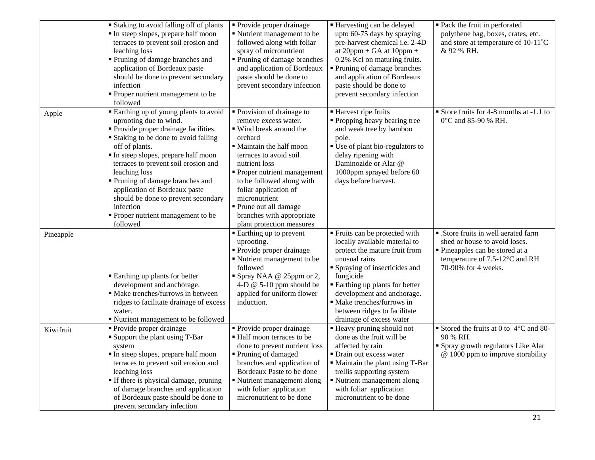|           | <b>Staking to avoid falling off of plants</b><br>In steep slopes, prepare half moon<br>terraces to prevent soil erosion and<br>leaching loss<br>Pruning of damage branches and<br>application of Bordeaux paste<br>should be done to prevent secondary<br>infection<br>• Proper nutrient management to be<br>followed                                                                                                                             | • Provide proper drainage<br>Nutrient management to be<br>followed along with foliar<br>spray of micronutrient<br>• Pruning of damage branches<br>and application of Bordeaux<br>paste should be done to<br>prevent secondary infection                                                                                                                  | ■ Harvesting can be delayed<br>upto 60-75 days by spraying<br>pre-harvest chemical i.e. 2-4D<br>at $20ppm + GA$ at $10ppm +$<br>0.2% Kcl on maturing fruits.<br>• Pruning of damage branches<br>and application of Bordeaux<br>paste should be done to<br>prevent secondary infection                                        | • Pack the fruit in perforated<br>polythene bag, boxes, crates, etc.<br>and store at temperature of 10-11°C<br>& 92 % RH.                                       |
|-----------|---------------------------------------------------------------------------------------------------------------------------------------------------------------------------------------------------------------------------------------------------------------------------------------------------------------------------------------------------------------------------------------------------------------------------------------------------|----------------------------------------------------------------------------------------------------------------------------------------------------------------------------------------------------------------------------------------------------------------------------------------------------------------------------------------------------------|------------------------------------------------------------------------------------------------------------------------------------------------------------------------------------------------------------------------------------------------------------------------------------------------------------------------------|-----------------------------------------------------------------------------------------------------------------------------------------------------------------|
| Apple     | • Earthing up of young plants to avoid<br>uprooting due to wind.<br>• Provide proper drainage facilities.<br><b>Staking to be done to avoid falling</b><br>off of plants.<br>In steep slopes, prepare half moon<br>terraces to prevent soil erosion and<br>leaching loss<br>Pruning of damage branches and<br>application of Bordeaux paste<br>should be done to prevent secondary<br>infection<br>• Proper nutrient management to be<br>followed | • Provision of drainage to<br>remove excess water.<br>■ Wind break around the<br>orchard<br>• Maintain the half moon<br>terraces to avoid soil<br>nutrient loss<br>• Proper nutrient management<br>to be followed along with<br>foliar application of<br>micronutrient<br>Prune out all damage<br>branches with appropriate<br>plant protection measures | ■ Harvest ripe fruits<br>• Propping heavy bearing tree<br>and weak tree by bamboo<br>pole.<br>" Use of plant bio-regulators to<br>delay ripening with<br>Daminozide or Alar @<br>1000ppm sprayed before 60<br>days before harvest.                                                                                           | Store fruits for 4-8 months at -1.1 to<br>0°C and 85-90 % RH.                                                                                                   |
| Pineapple | <b>Earthing up plants for better</b><br>development and anchorage.<br>· Make trenches/furrows in between<br>ridges to facilitate drainage of excess<br>water.<br>" Nutrient management to be followed                                                                                                                                                                                                                                             | • Earthing up to prevent<br>uprooting.<br>• Provide proper drainage<br>Nutrient management to be<br>followed<br>Spray NAA @ 25ppm or 2,<br>4-D $@$ 5-10 ppm should be<br>applied for uniform flower<br>induction.                                                                                                                                        | Fruits can be protected with<br>locally available material to<br>protect the mature fruit from<br>unusual rains<br>Spraying of insecticides and<br>fungicide<br><b>Earthing up plants for better</b><br>development and anchorage.<br>• Make trenches/furrows in<br>between ridges to facilitate<br>drainage of excess water | • .Store fruits in well aerated farm<br>shed or house to avoid loses.<br>Pineapples can be stored at a<br>temperature of 7.5-12°C and RH<br>70-90% for 4 weeks. |
| Kiwifruit | • Provide proper drainage<br>• Support the plant using T-Bar<br>system<br>In steep slopes, prepare half moon<br>terraces to prevent soil erosion and<br>leaching loss<br>If there is physical damage, pruning<br>of damage branches and application<br>of Bordeaux paste should be done to<br>prevent secondary infection                                                                                                                         | Provide proper drainage<br>■ Half moon terraces to be<br>done to prevent nutrient loss<br>Pruning of damaged<br>branches and application of<br>Bordeaux Paste to be done<br>Nutrient management along<br>with foliar application<br>micronutrient to be done                                                                                             | • Heavy pruning should not<br>done as the fruit will be<br>affected by rain<br>• Drain out excess water<br>• Maintain the plant using T-Bar<br>trellis supporting system<br>Nutrient management along<br>with foliar application<br>micronutrient to be done                                                                 | Stored the fruits at 0 to $4^{\circ}$ C and 80-<br>90 % RH.<br>• Spray growth regulators Like Alar<br>@ 1000 ppm to improve storability                         |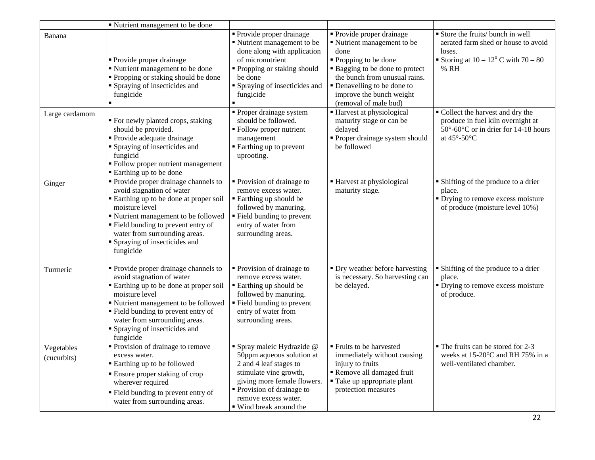|                           | " Nutrient management to be done                                                                                                                                                                                                                                                             |                                                                                                                                                                                                                           |                                                                                                                                                                                                                                                           |                                                                                                                                                    |
|---------------------------|----------------------------------------------------------------------------------------------------------------------------------------------------------------------------------------------------------------------------------------------------------------------------------------------|---------------------------------------------------------------------------------------------------------------------------------------------------------------------------------------------------------------------------|-----------------------------------------------------------------------------------------------------------------------------------------------------------------------------------------------------------------------------------------------------------|----------------------------------------------------------------------------------------------------------------------------------------------------|
| Banana                    | • Provide proper drainage<br>" Nutrient management to be done<br>• Propping or staking should be done<br>• Spraying of insecticides and<br>fungicide                                                                                                                                         | Provide proper drainage<br>Nutrient management to be<br>done along with application<br>of micronutrient<br>" Propping or staking should<br>be done<br>• Spraying of insecticides and<br>fungicide                         | <b>Provide proper drainage</b><br>Nutrient management to be<br>done<br>• Propping to be done<br><b>Bagging to be done to protect</b><br>the bunch from unusual rains.<br>• Denavelling to be done to<br>improve the bunch weight<br>(removal of male bud) | Store the fruits/ bunch in well<br>aerated farm shed or house to avoid<br>loses.<br>Storing at $10 - 12^{\circ}$ C with $70 - 80$<br>% RH          |
| Large cardamom            | " For newly planted crops, staking<br>should be provided.<br>• Provide adequate drainage<br>• Spraying of insecticides and<br>fungicid<br>· Follow proper nutrient management<br>■ Earthing up to be done                                                                                    | • Proper drainage system<br>should be followed.<br>· Follow proper nutrient<br>management<br>Earthing up to prevent<br>uprooting.                                                                                         | ■ Harvest at physiological<br>maturity stage or can be<br>delayed<br>Proper drainage system should<br>be followed                                                                                                                                         | • Collect the harvest and dry the<br>produce in fuel kiln overnight at<br>50°-60°C or in drier for 14-18 hours<br>at $45^{\circ}$ -50 $^{\circ}$ C |
| Ginger                    | • Provide proper drainage channels to<br>avoid stagnation of water<br>Earthing up to be done at proper soil<br>moisture level<br>" Nutrient management to be followed<br>" Field bunding to prevent entry of<br>water from surrounding areas.<br>• Spraying of insecticides and<br>fungicide | • Provision of drainage to<br>remove excess water.<br><b>Earthing up should be</b><br>followed by manuring.<br>" Field bunding to prevent<br>entry of water from<br>surrounding areas.                                    | Harvest at physiological<br>maturity stage.                                                                                                                                                                                                               | • Shifting of the produce to a drier<br>place.<br>• Drying to remove excess moisture<br>of produce (moisture level 10%)                            |
| Turmeric                  | • Provide proper drainage channels to<br>avoid stagnation of water<br>Earthing up to be done at proper soil<br>moisture level<br>" Nutrient management to be followed<br>" Field bunding to prevent entry of<br>water from surrounding areas.<br>• Spraying of insecticides and<br>fungicide | • Provision of drainage to<br>remove excess water.<br>■ Earthing up should be<br>followed by manuring.<br>" Field bunding to prevent<br>entry of water from<br>surrounding areas.                                         | • Dry weather before harvesting<br>is necessary. So harvesting can<br>be delayed.                                                                                                                                                                         | • Shifting of the produce to a drier<br>place.<br>• Drying to remove excess moisture<br>of produce.                                                |
| Vegetables<br>(cucurbits) | $\overline{\text{Provision of drainage to remove}}$<br>excess water.<br><b>Earthing up to be followed</b><br>• Ensure proper staking of crop<br>wherever required<br>" Field bunding to prevent entry of<br>water from surrounding areas.                                                    | Spray maleic Hydrazide @<br>50ppm aqueous solution at<br>2 and 4 leaf stages to<br>stimulate vine growth,<br>giving more female flowers.<br>• Provision of drainage to<br>remove excess water.<br>• Wind break around the | Fruits to be harvested<br>immediately without causing<br>injury to fruits<br>Remove all damaged fruit<br>■ Take up appropriate plant<br>protection measures                                                                                               | • The fruits can be stored for 2-3<br>weeks at 15-20°C and RH 75% in a<br>well-ventilated chamber.                                                 |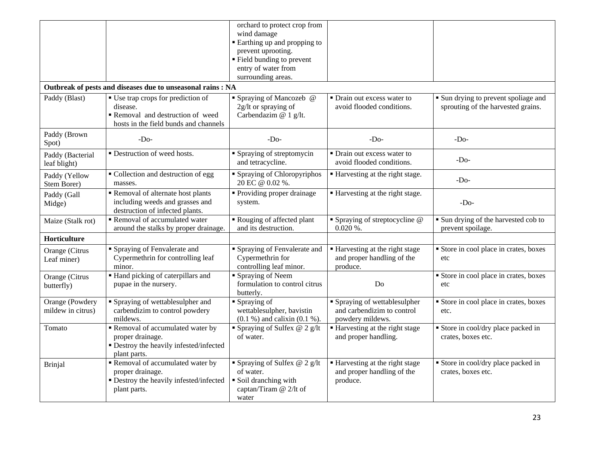|                       |                                                             | orchard to protect crop from               |                                  |                                      |
|-----------------------|-------------------------------------------------------------|--------------------------------------------|----------------------------------|--------------------------------------|
|                       |                                                             | wind damage<br>Earthing up and propping to |                                  |                                      |
|                       |                                                             | prevent uprooting.                         |                                  |                                      |
|                       |                                                             | • Field bunding to prevent                 |                                  |                                      |
|                       |                                                             | entry of water from                        |                                  |                                      |
|                       |                                                             | surrounding areas.                         |                                  |                                      |
|                       | Outbreak of pests and diseases due to unseasonal rains : NA |                                            |                                  |                                      |
|                       |                                                             |                                            |                                  |                                      |
| Paddy (Blast)         | • Use trap crops for prediction of                          | • Spraying of Mancozeb @                   | • Drain out excess water to      | • Sun drying to prevent spoliage and |
|                       | disease.                                                    | 2g/lt or spraying of                       | avoid flooded conditions.        | sprouting of the harvested grains.   |
|                       | Removal and destruction of weed                             | Carbendazim @ 1 g/lt.                      |                                  |                                      |
|                       | hosts in the field bunds and channels                       |                                            |                                  |                                      |
| Paddy (Brown<br>Spot) | $-Do-$                                                      | $-D0$                                      | $-DO$                            | $-Do-$                               |
| Paddy (Bacterial      | • Destruction of weed hosts.                                | • Spraying of streptomycin                 | • Drain out excess water to      |                                      |
| leaf blight)          |                                                             | and tetracycline.                          | avoid flooded conditions.        | $-Do-$                               |
| Paddy (Yellow         | Collection and destruction of egg                           | • Spraying of Chloropyriphos               | ■ Harvesting at the right stage. |                                      |
| Stem Borer)           | masses.                                                     | 20 EC @ 0.02 %.                            |                                  | $-Do-$                               |
| Paddy (Gall           | Removal of alternate host plants                            | <b>• Providing proper drainage</b>         | ■ Harvesting at the right stage. |                                      |
| Midge)                | including weeds and grasses and                             | system.                                    |                                  | $-Do-$                               |
|                       | destruction of infected plants.                             |                                            |                                  |                                      |
| Maize (Stalk rot)     | Removal of accumulated water                                | Rouging of affected plant                  | • Spraying of streptocycline $@$ | • Sun drying of the harvested cob to |
|                       | around the stalks by proper drainage.                       | and its destruction.                       | $0.020\%$ .                      | prevent spoilage.                    |
| Horticulture          |                                                             |                                            |                                  |                                      |
| Orange (Citrus        | • Spraying of Fenvalerate and                               | • Spraying of Fenvalerate and              | ■ Harvesting at the right stage  | Store in cool place in crates, boxes |
| Leaf miner)           | Cypermethrin for controlling leaf                           | Cypermethrin for                           | and proper handling of the       | etc                                  |
|                       | minor.                                                      | controlling leaf minor.                    | produce.                         |                                      |
| Orange (Citrus        | Hand picking of caterpillars and                            | Spraying of Neem                           |                                  | Store in cool place in crates, boxes |
| butterfly)            | pupae in the nursery.                                       | formulation to control citrus              | Do                               | etc                                  |
|                       |                                                             | butterly.                                  |                                  |                                      |
| Orange (Powdery       | • Spraying of wettablesulpher and                           | Spraying of                                | • Spraying of wettablesulpher    | Store in cool place in crates, boxes |
| mildew in citrus)     | carbendizim to control powdery                              | wettablesulpher, bavistin                  | and carbendizim to control       | etc.                                 |
|                       | mildews.                                                    | $(0.1 %)$ and calixin $(0.1 %)$ .          | powdery mildews.                 |                                      |
| Tomato                | Removal of accumulated water by                             | Spraying of Sulfex $@$ 2 g/lt              | ■ Harvesting at the right stage  | Store in cool/dry place packed in    |
|                       | proper drainage.                                            | of water.                                  | and proper handling.             | crates, boxes etc.                   |
|                       | · Destroy the heavily infested/infected                     |                                            |                                  |                                      |
|                       | plant parts.                                                |                                            |                                  |                                      |
| <b>Brinjal</b>        | Removal of accumulated water by                             | Spraying of Sulfex $@$ 2 g/lt              | ■ Harvesting at the right stage  | Store in cool/dry place packed in    |
|                       | proper drainage.                                            | of water.                                  | and proper handling of the       | crates, boxes etc.                   |
|                       | · Destroy the heavily infested/infected                     | Soil dranching with                        | produce.                         |                                      |
|                       | plant parts.                                                | captan/Tiram @ 2/lt of                     |                                  |                                      |
|                       |                                                             | water                                      |                                  |                                      |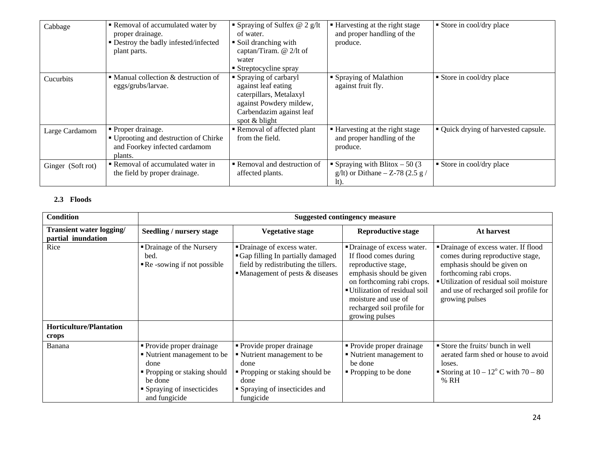| Cabbage           | Removal of accumulated water by<br>proper drainage.<br>• Destroy the badly infested/infected<br>plant parts. | Spraying of Sulfex $@$ 2 g/lt<br>of water.<br>• Soil dranching with<br>captan/Tiram. @ 2/lt of<br>water<br>■ Streptocycline spray                | ■ Harvesting at the right stage<br>and proper handling of the<br>produce.        | Store in cool/dry place              |
|-------------------|--------------------------------------------------------------------------------------------------------------|--------------------------------------------------------------------------------------------------------------------------------------------------|----------------------------------------------------------------------------------|--------------------------------------|
| Cucurbits         | • Manual collection $&$ destruction of<br>eggs/grubs/larvae.                                                 | • Spraying of carbaryl<br>against leaf eating<br>caterpillars, Metalaxyl<br>against Powdery mildew,<br>Carbendazim against leaf<br>spot & blight | ■ Spraying of Malathion<br>against fruit fly.                                    | ■ Store in cool/dry place            |
| Large Cardamom    | • Proper drainage.<br>■ Uprooting and destruction of Chirke<br>and Foorkey infected cardamom<br>plants.      | Removal of affected plant<br>from the field.                                                                                                     | ■ Harvesting at the right stage<br>and proper handling of the<br>produce.        | • Quick drying of harvested capsule. |
| Ginger (Soft rot) | Removal of accumulated water in<br>the field by proper drainage.                                             | Removal and destruction of<br>affected plants.                                                                                                   | • Spraying with Blitox $-50(3)$<br>g/lt) or Dithane $-$ Z-78 (2.5 g /<br>$lt$ ). | Store in cool/dry place              |

# **2.3 Floods**

| <b>Condition</b>                               |                                                                                                                                                            |                                                                                                                                                            | <b>Suggested contingency measure</b>                                                                                                                                                                                                           |                                                                                                                                                                                                                                        |
|------------------------------------------------|------------------------------------------------------------------------------------------------------------------------------------------------------------|------------------------------------------------------------------------------------------------------------------------------------------------------------|------------------------------------------------------------------------------------------------------------------------------------------------------------------------------------------------------------------------------------------------|----------------------------------------------------------------------------------------------------------------------------------------------------------------------------------------------------------------------------------------|
| Transient water logging/<br>partial inundation | Seedling / nursery stage                                                                                                                                   | <b>Vegetative stage</b>                                                                                                                                    | <b>Reproductive stage</b>                                                                                                                                                                                                                      | At harvest                                                                                                                                                                                                                             |
| Rice<br><b>Horticulture/Plantation</b>         | • Drainage of the Nursery<br>bed.<br>$\blacksquare$ Re -sowing if not possible                                                                             | • Drainage of excess water.<br>Gap filling In partially damaged<br>field by redistributing the tillers.<br>$\blacksquare$ Management of pests & diseases   | • Drainage of excess water.<br>If flood comes during<br>reproductive stage,<br>emphasis should be given<br>on forthcoming rabi crops.<br>■ Utilization of residual soil<br>moisture and use of<br>recharged soil profile for<br>growing pulses | • Drainage of excess water. If flood<br>comes during reproductive stage,<br>emphasis should be given on<br>forthcoming rabi crops.<br>Utilization of residual soil moisture<br>and use of recharged soil profile for<br>growing pulses |
| crops                                          |                                                                                                                                                            |                                                                                                                                                            |                                                                                                                                                                                                                                                |                                                                                                                                                                                                                                        |
| Banana                                         | • Provide proper drainage<br>• Nutrient management to be<br>done<br>• Propping or staking should<br>be done<br>• Spraying of insecticides<br>and fungicide | • Provide proper drainage<br>• Nutrient management to be<br>done<br>• Propping or staking should be<br>done<br>• Spraying of insecticides and<br>fungicide | • Provide proper drainage<br>• Nutrient management to<br>be done<br>• Propping to be done                                                                                                                                                      | Store the fruits/ bunch in well<br>aerated farm shed or house to avoid<br>loses.<br>Storing at $10 - 12^{\circ}$ C with $70 - 80$<br>% RH                                                                                              |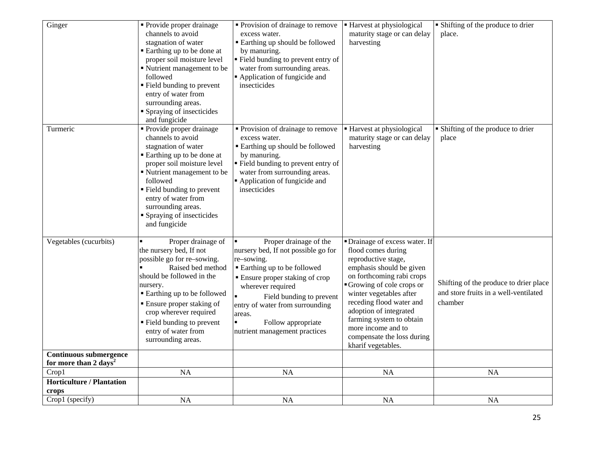| Ginger                                                               | • Provide proper drainage<br>channels to avoid<br>stagnation of water<br>Earthing up to be done at<br>proper soil moisture level<br>Nutrient management to be<br>followed<br>■ Field bunding to prevent<br>entry of water from<br>surrounding areas.<br>• Spraying of insecticides<br>and fungicide               | • Provision of drainage to remove<br>excess water.<br><b>Earthing up should be followed</b><br>by manuring.<br>" Field bunding to prevent entry of<br>water from surrounding areas.<br>Application of fungicide and<br>insecticides                                                                                                     | ■ Harvest at physiological<br>maturity stage or can delay<br>harvesting                                                                                                                                                                                                                                                                                 | • Shifting of the produce to drier<br>place.                                               |
|----------------------------------------------------------------------|-------------------------------------------------------------------------------------------------------------------------------------------------------------------------------------------------------------------------------------------------------------------------------------------------------------------|-----------------------------------------------------------------------------------------------------------------------------------------------------------------------------------------------------------------------------------------------------------------------------------------------------------------------------------------|---------------------------------------------------------------------------------------------------------------------------------------------------------------------------------------------------------------------------------------------------------------------------------------------------------------------------------------------------------|--------------------------------------------------------------------------------------------|
| Turmeric                                                             | • Provide proper drainage<br>channels to avoid<br>stagnation of water<br>Earthing up to be done at<br>proper soil moisture level<br>Nutrient management to be<br>followed<br>■ Field bunding to prevent<br>entry of water from<br>surrounding areas.<br>Spraying of insecticides<br>and fungicide                 | • Provision of drainage to remove<br>excess water.<br><b>Earthing up should be followed</b><br>by manuring.<br>Field bunding to prevent entry of<br>water from surrounding areas.<br>Application of fungicide and<br>insecticides                                                                                                       | ■ Harvest at physiological<br>maturity stage or can delay<br>harvesting                                                                                                                                                                                                                                                                                 | • Shifting of the produce to drier<br>place                                                |
| Vegetables (cucurbits)                                               | Proper drainage of<br>the nursery bed, If not<br>possible go for re-sowing.<br>Raised bed method<br>should be followed in the<br>nursery.<br>■ Earthing up to be followed<br><b>Ensure proper staking of</b><br>crop wherever required<br>■ Field bunding to prevent<br>entry of water from<br>surrounding areas. | Proper drainage of the<br>$\blacksquare$<br>nursery bed, If not possible go for<br>re-sowing.<br>■ Earthing up to be followed<br>• Ensure proper staking of crop<br>wherever required<br>$\blacksquare$<br>Field bunding to prevent<br>entry of water from surrounding<br>areas.<br>Follow appropriate<br>nutrient management practices | • Drainage of excess water. If<br>flood comes during<br>reproductive stage,<br>emphasis should be given<br>on forthcoming rabi crops<br>Growing of cole crops or<br>winter vegetables after<br>receding flood water and<br>adoption of integrated<br>farming system to obtain<br>more income and to<br>compensate the loss during<br>kharif vegetables. | Shifting of the produce to drier place<br>and store fruits in a well-ventilated<br>chamber |
| <b>Continuous submergence</b><br>for more than $2$ days <sup>2</sup> |                                                                                                                                                                                                                                                                                                                   |                                                                                                                                                                                                                                                                                                                                         |                                                                                                                                                                                                                                                                                                                                                         |                                                                                            |
| Crop1                                                                | <b>NA</b>                                                                                                                                                                                                                                                                                                         | <b>NA</b>                                                                                                                                                                                                                                                                                                                               | <b>NA</b>                                                                                                                                                                                                                                                                                                                                               | <b>NA</b>                                                                                  |
| <b>Horticulture / Plantation</b><br>crops                            |                                                                                                                                                                                                                                                                                                                   |                                                                                                                                                                                                                                                                                                                                         |                                                                                                                                                                                                                                                                                                                                                         |                                                                                            |
| Crop1 (specify)                                                      | <b>NA</b>                                                                                                                                                                                                                                                                                                         | <b>NA</b>                                                                                                                                                                                                                                                                                                                               | <b>NA</b>                                                                                                                                                                                                                                                                                                                                               | <b>NA</b>                                                                                  |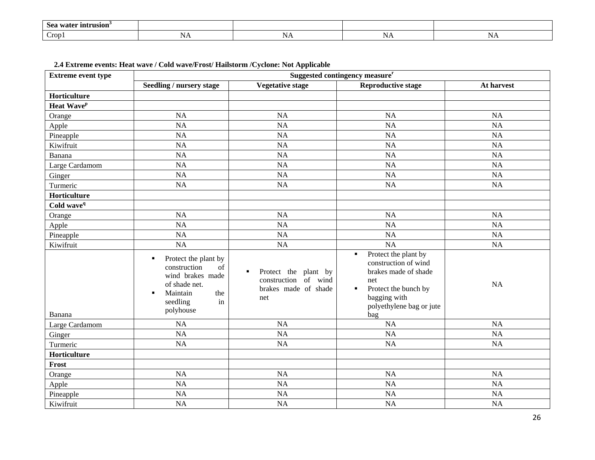| intrusion<br><b>Sez</b><br>70 T Q T |                  |       |         |             |
|-------------------------------------|------------------|-------|---------|-------------|
| -<br>$C_{\rm 10D}$                  | $\sim$<br>L N Z. | TALT. | 1 ¶ 7 T | <b>TATT</b> |

**2.4 Extreme events: Heat wave / Cold wave/Frost/ Hailstorm /Cyclone: Not Applicable**

| <b>Extreme event type</b> | Suggested contingency measure <sup>r</sup>                                                                                                               |                                                                                  |                                                                                                                                                                               |            |
|---------------------------|----------------------------------------------------------------------------------------------------------------------------------------------------------|----------------------------------------------------------------------------------|-------------------------------------------------------------------------------------------------------------------------------------------------------------------------------|------------|
|                           | Seedling / nursery stage                                                                                                                                 | <b>Vegetative stage</b>                                                          | <b>Reproductive stage</b>                                                                                                                                                     | At harvest |
| Horticulture              |                                                                                                                                                          |                                                                                  |                                                                                                                                                                               |            |
| Heat Wave <sup>p</sup>    |                                                                                                                                                          |                                                                                  |                                                                                                                                                                               |            |
| Orange                    | <b>NA</b>                                                                                                                                                | NA                                                                               | <b>NA</b>                                                                                                                                                                     | NA         |
| Apple                     | <b>NA</b>                                                                                                                                                | <b>NA</b>                                                                        | <b>NA</b>                                                                                                                                                                     | NA         |
| Pineapple                 | <b>NA</b>                                                                                                                                                | <b>NA</b>                                                                        | <b>NA</b>                                                                                                                                                                     | <b>NA</b>  |
| Kiwifruit                 | NA                                                                                                                                                       | <b>NA</b>                                                                        | <b>NA</b>                                                                                                                                                                     | NA         |
| Banana                    | NA                                                                                                                                                       | NA                                                                               | <b>NA</b>                                                                                                                                                                     | NA         |
| Large Cardamom            | NA                                                                                                                                                       | NA                                                                               | NA                                                                                                                                                                            | NA         |
| Ginger                    | <b>NA</b>                                                                                                                                                | <b>NA</b>                                                                        | <b>NA</b>                                                                                                                                                                     | NA         |
| Turmeric                  | NA                                                                                                                                                       | NA                                                                               | <b>NA</b>                                                                                                                                                                     | NA         |
| Horticulture              |                                                                                                                                                          |                                                                                  |                                                                                                                                                                               |            |
| Cold wave <sup>q</sup>    |                                                                                                                                                          |                                                                                  |                                                                                                                                                                               |            |
| Orange                    | NA                                                                                                                                                       | <b>NA</b>                                                                        | <b>NA</b>                                                                                                                                                                     | <b>NA</b>  |
| Apple                     | NA                                                                                                                                                       | <b>NA</b>                                                                        | <b>NA</b>                                                                                                                                                                     | NA         |
| Pineapple                 | <b>NA</b>                                                                                                                                                | <b>NA</b>                                                                        | <b>NA</b>                                                                                                                                                                     | NA         |
| Kiwifruit                 | <b>NA</b>                                                                                                                                                | NA                                                                               | <b>NA</b>                                                                                                                                                                     | NA         |
| Banana                    | Protect the plant by<br>٠<br>construction<br>of<br>wind brakes made<br>of shade net.<br>Maintain<br>the<br>$\blacksquare$<br>seedling<br>in<br>polyhouse | Protect the plant by<br>٠<br>construction of wind<br>brakes made of shade<br>net | Protect the plant by<br>$\blacksquare$<br>construction of wind<br>brakes made of shade<br>net<br>Protect the bunch by<br>٠<br>bagging with<br>polyethylene bag or jute<br>bag | NA         |
| Large Cardamom            | NA                                                                                                                                                       | <b>NA</b>                                                                        | <b>NA</b>                                                                                                                                                                     | NA         |
| Ginger                    | NA                                                                                                                                                       | <b>NA</b>                                                                        | <b>NA</b>                                                                                                                                                                     | NA         |
| Turmeric                  | <b>NA</b>                                                                                                                                                | <b>NA</b>                                                                        | <b>NA</b>                                                                                                                                                                     | NA         |
| Horticulture              |                                                                                                                                                          |                                                                                  |                                                                                                                                                                               |            |
| Frost                     |                                                                                                                                                          |                                                                                  |                                                                                                                                                                               |            |
| Orange                    | <b>NA</b>                                                                                                                                                | NA                                                                               | <b>NA</b>                                                                                                                                                                     | NA         |
| Apple                     | <b>NA</b>                                                                                                                                                | NA                                                                               | <b>NA</b>                                                                                                                                                                     | NA         |
| Pineapple                 | <b>NA</b>                                                                                                                                                | <b>NA</b>                                                                        | <b>NA</b>                                                                                                                                                                     | <b>NA</b>  |
| Kiwifruit                 | <b>NA</b>                                                                                                                                                | <b>NA</b>                                                                        | <b>NA</b>                                                                                                                                                                     | NA         |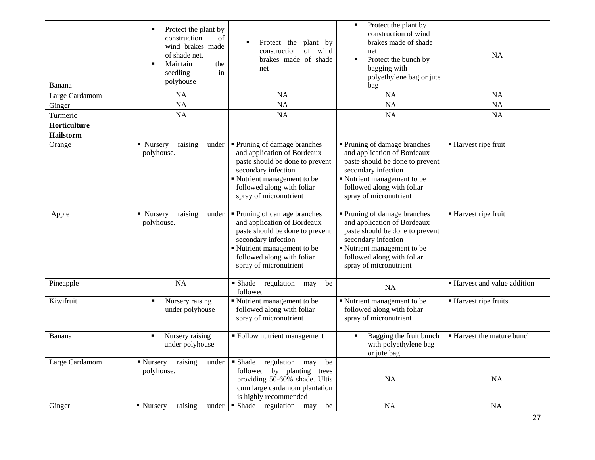| Banana           | Protect the plant by<br>construction<br>of<br>wind brakes made<br>of shade net.<br>Maintain<br>the<br>seedling<br>in<br>polyhouse | Protect the plant by<br>construction of<br>wind<br>brakes made of shade<br>net                                                                                                                             | Protect the plant by<br>$\blacksquare$<br>construction of wind<br>brakes made of shade<br>net<br>Protect the bunch by<br>٠<br>bagging with<br>polyethylene bag or jute<br>bag                              | <b>NA</b>                    |
|------------------|-----------------------------------------------------------------------------------------------------------------------------------|------------------------------------------------------------------------------------------------------------------------------------------------------------------------------------------------------------|------------------------------------------------------------------------------------------------------------------------------------------------------------------------------------------------------------|------------------------------|
| Large Cardamom   | <b>NA</b>                                                                                                                         | <b>NA</b>                                                                                                                                                                                                  | <b>NA</b>                                                                                                                                                                                                  | <b>NA</b>                    |
| Ginger           | <b>NA</b>                                                                                                                         | <b>NA</b>                                                                                                                                                                                                  | <b>NA</b>                                                                                                                                                                                                  | <b>NA</b>                    |
| Turmeric         | <b>NA</b>                                                                                                                         | <b>NA</b>                                                                                                                                                                                                  | <b>NA</b>                                                                                                                                                                                                  | <b>NA</b>                    |
| Horticulture     |                                                                                                                                   |                                                                                                                                                                                                            |                                                                                                                                                                                                            |                              |
| <b>Hailstorm</b> |                                                                                                                                   |                                                                                                                                                                                                            |                                                                                                                                                                                                            |                              |
| Orange           | • Nursery<br>raising<br>under<br>polyhouse.                                                                                       | • Pruning of damage branches<br>and application of Bordeaux<br>paste should be done to prevent<br>secondary infection<br>Nutrient management to be<br>followed along with foliar<br>spray of micronutrient | • Pruning of damage branches<br>and application of Bordeaux<br>paste should be done to prevent<br>secondary infection<br>Nutrient management to be<br>followed along with foliar<br>spray of micronutrient | ■ Harvest ripe fruit         |
| Apple            | ■ Nursery<br>raising<br>under<br>polyhouse.                                                                                       | • Pruning of damage branches<br>and application of Bordeaux<br>paste should be done to prevent<br>secondary infection<br>Kutrient management to be<br>followed along with foliar<br>spray of micronutrient | • Pruning of damage branches<br>and application of Bordeaux<br>paste should be done to prevent<br>secondary infection<br>Kutrient management to be<br>followed along with foliar<br>spray of micronutrient | ■ Harvest ripe fruit         |
| Pineapple        | <b>NA</b>                                                                                                                         | ■ Shade<br>regulation may<br>be<br>followed                                                                                                                                                                | <b>NA</b>                                                                                                                                                                                                  | ■ Harvest and value addition |
| Kiwifruit        | Nursery raising<br>٠<br>under polyhouse                                                                                           | Nutrient management to be<br>followed along with foliar<br>spray of micronutrient                                                                                                                          | Nutrient management to be<br>followed along with foliar<br>spray of micronutrient                                                                                                                          | ■ Harvest ripe fruits        |
| Banana           | Nursery raising<br>$\blacksquare$<br>under polyhouse                                                                              | • Follow nutrient management                                                                                                                                                                               | Bagging the fruit bunch<br>٠<br>with polyethylene bag<br>or jute bag                                                                                                                                       | ■ Harvest the mature bunch   |
| Large Cardamom   | ■ Nursery<br>raising<br>under<br>polyhouse.                                                                                       | • Shade<br>regulation may<br>be<br>followed by planting trees<br>providing 50-60% shade. Ultis<br>cum large cardamom plantation<br>is highly recommended                                                   | <b>NA</b>                                                                                                                                                                                                  | NA                           |
| Ginger           | • Nursery<br>raising<br>under                                                                                                     | • Shade regulation may<br>be                                                                                                                                                                               | <b>NA</b>                                                                                                                                                                                                  | <b>NA</b>                    |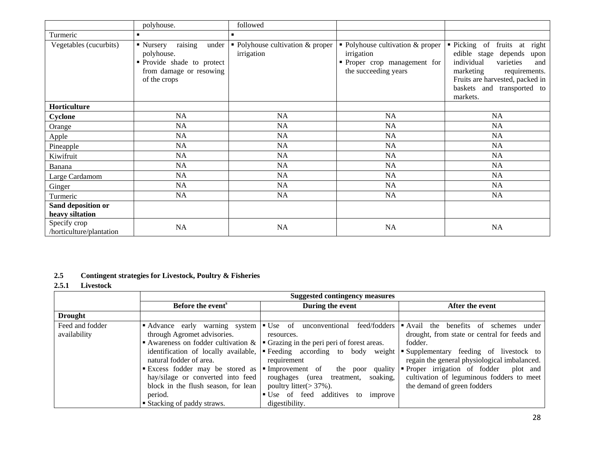|                                          | polyhouse.                                                                                                                        | followed                                       |                                                                                                        |                                                                                                                                                                                                                    |
|------------------------------------------|-----------------------------------------------------------------------------------------------------------------------------------|------------------------------------------------|--------------------------------------------------------------------------------------------------------|--------------------------------------------------------------------------------------------------------------------------------------------------------------------------------------------------------------------|
| Turmeric                                 | $\blacksquare$                                                                                                                    | $\blacksquare$                                 |                                                                                                        |                                                                                                                                                                                                                    |
| Vegetables (cucurbits)                   | raising<br>under<br>$\blacksquare$ Nursery<br>polyhouse.<br>• Provide shade to protect<br>from damage or resowing<br>of the crops | • Polyhouse cultivation & proper<br>irrigation | • Polyhouse cultivation & proper<br>irrigation<br>• Proper crop management for<br>the succeeding years | • Picking of<br>fruits at<br>right<br>edible stage<br>depends<br>upon<br>individual<br>varieties<br>and<br>marketing<br>requirements.<br>Fruits are harvested, packed in<br>baskets and transported to<br>markets. |
| Horticulture                             |                                                                                                                                   |                                                |                                                                                                        |                                                                                                                                                                                                                    |
| Cyclone                                  | <b>NA</b>                                                                                                                         | NA                                             | NA                                                                                                     | NA                                                                                                                                                                                                                 |
| Orange                                   | NA                                                                                                                                | NA                                             | NA                                                                                                     | NA                                                                                                                                                                                                                 |
| Apple                                    | <b>NA</b>                                                                                                                         | <b>NA</b>                                      | NA                                                                                                     | NA                                                                                                                                                                                                                 |
| Pineapple                                | NA                                                                                                                                | NA                                             | NA                                                                                                     | NA                                                                                                                                                                                                                 |
| Kiwifruit                                | NA                                                                                                                                | NA                                             | NA                                                                                                     | NA                                                                                                                                                                                                                 |
| Banana                                   | NA                                                                                                                                | NA                                             | NA                                                                                                     | NA                                                                                                                                                                                                                 |
| Large Cardamom                           | <b>NA</b>                                                                                                                         | NA                                             | NA                                                                                                     | NA                                                                                                                                                                                                                 |
| Ginger                                   | NA                                                                                                                                | NA                                             | NA                                                                                                     | NA                                                                                                                                                                                                                 |
| Turmeric                                 | <b>NA</b>                                                                                                                         | NA                                             | <b>NA</b>                                                                                              | <b>NA</b>                                                                                                                                                                                                          |
| Sand deposition or<br>heavy siltation    |                                                                                                                                   |                                                |                                                                                                        |                                                                                                                                                                                                                    |
| Specify crop<br>/horticulture/plantation | NA                                                                                                                                | NA                                             | NA                                                                                                     | NA                                                                                                                                                                                                                 |

# **2.5 Contingent strategies for Livestock, Poultry & Fisheries**

#### **2.5.1 Livestock**

|                                 | <b>Suggested contingency measures</b>                                                                                                                              |                                                                                                                                                                                                                       |                                                                                                                                                                                                                                                                                                   |  |
|---------------------------------|--------------------------------------------------------------------------------------------------------------------------------------------------------------------|-----------------------------------------------------------------------------------------------------------------------------------------------------------------------------------------------------------------------|---------------------------------------------------------------------------------------------------------------------------------------------------------------------------------------------------------------------------------------------------------------------------------------------------|--|
|                                 | Before the event <sup>s</sup>                                                                                                                                      | During the event                                                                                                                                                                                                      | After the event                                                                                                                                                                                                                                                                                   |  |
| <b>Drought</b>                  |                                                                                                                                                                    |                                                                                                                                                                                                                       |                                                                                                                                                                                                                                                                                                   |  |
| Feed and fodder<br>availability | • Advance early warning system<br>through Agromet advisories.<br>identification of locally available,<br>natural fodder of area.<br>Excess fodder may be stored as | feed/fodders<br>$\bullet$ Use of<br>unconventional<br>resources.<br>Awareness on fodder cultivation $\& \rvert \rvert$ Grazing in the peri peri of forest areas.<br>requirement<br>Improvement of the poor<br>quality | $\blacksquare$ Avail the<br>benefits of<br>schemes<br>under<br>drought, from state or central for feeds and<br>fodder.<br>• Feeding according to body weight • Supplementary feeding of livestock to<br>regain the general physiological imbalanced.<br>• Proper irrigation of fodder<br>plot and |  |
|                                 | hay/silage or converted into feed<br>block in the flush season, for lean<br>period.<br>■ Stacking of paddy straws.                                                 | roughages (urea treatment, soaking,<br>poultry litter( $>$ 37%).<br>• Use of feed additives to improve<br>digestibility.                                                                                              | cultivation of leguminous fodders to meet<br>the demand of green fodders                                                                                                                                                                                                                          |  |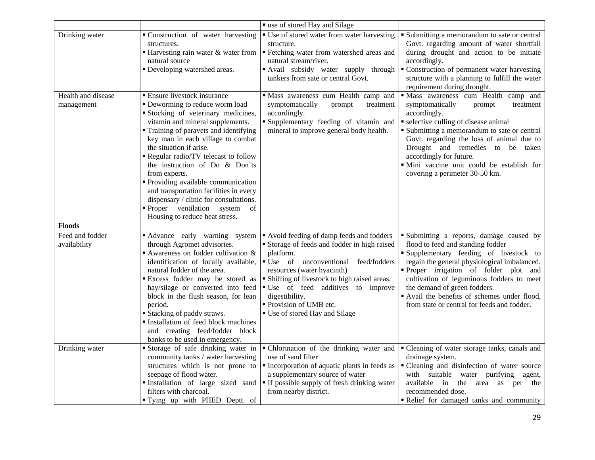|                                  |                                                                                                                                                                                                                                                                                                                                                                                                                                                                                                                                         | " use of stored Hay and Silage                                                                                                                                                                                                                                                                                                                |                                                                                                                                                                                                                                                                                                                                                                                        |
|----------------------------------|-----------------------------------------------------------------------------------------------------------------------------------------------------------------------------------------------------------------------------------------------------------------------------------------------------------------------------------------------------------------------------------------------------------------------------------------------------------------------------------------------------------------------------------------|-----------------------------------------------------------------------------------------------------------------------------------------------------------------------------------------------------------------------------------------------------------------------------------------------------------------------------------------------|----------------------------------------------------------------------------------------------------------------------------------------------------------------------------------------------------------------------------------------------------------------------------------------------------------------------------------------------------------------------------------------|
| Drinking water                   | • Construction of water harvesting<br>structures.<br>$\blacksquare$ Harvesting rain water & water from<br>natural source<br>• Developing watershed areas.                                                                                                                                                                                                                                                                                                                                                                               | • Use of stored water from water harvesting<br>structure.<br>" Fetching water from watershed areas and<br>natural stream/river.<br>Avail subsidy water supply through<br>tankers from sate or central Govt.                                                                                                                                   | • Submitting a memorandum to sate or central<br>Govt. regarding amount of water shortfall<br>during drought and action to be initiate<br>accordingly.<br>• Construction of permanent water harvesting<br>structure with a planning to fulfill the water<br>requirement during drought.                                                                                                 |
| Health and disease<br>management | ■ Ensure livestock insurance<br>• Deworming to reduce worm load<br>Stocking of veterinary medicines,<br>vitamin and mineral supplements.<br>Training of paravets and identifying<br>key man in each village to combat<br>the situation if arise.<br>Regular radio/TV telecast to follow<br>the instruction of Do & Don'ts<br>from experts.<br>• Providing available communication<br>and transportation facilities in every<br>dispensary / clinic for consultations.<br>Proper ventilation system of<br>Housing to reduce heat stress. | · Mass awareness cum Health camp and<br>symptomatically<br>prompt<br>treatment<br>accordingly.<br>"Supplementary feeding of vitamin and<br>mineral to improve general body health.                                                                                                                                                            | · Mass awareness cum Health camp and<br>symptomatically<br>prompt<br>treatment<br>accordingly.<br>• selective culling of disease animal<br>• Submitting a memorandum to sate or central<br>Govt. regarding the loss of animal due to<br>Drought and remedies to be taken<br>accordingly for future.<br>· Mini vaccine unit could be establish for<br>covering a perimeter 30-50 km.    |
| <b>Floods</b>                    |                                                                                                                                                                                                                                                                                                                                                                                                                                                                                                                                         |                                                                                                                                                                                                                                                                                                                                               |                                                                                                                                                                                                                                                                                                                                                                                        |
| Feed and fodder<br>availability  | Advance early warning system<br>through Agromet advisories.<br>Awareness on fodder cultivation &<br>identification of locally available,<br>natural fodder of the area.<br>Excess fodder may be stored as<br>hay/silage or converted into feed<br>block in the flush season, for lean<br>period.<br><b>Stacking of paddy straws.</b><br>Installation of feed block machines<br>and creating feed/fodder block<br>banks to be used in emergency.                                                                                         | Avoid feeding of damp feeds and fodders<br>Storage of feeds and fodder in high raised<br>platform.<br>• Use of unconventional feed/fodders<br>resources (water hyacinth)<br>• Shifting of livestock to high raised areas.<br>"Use of feed additives to improve<br>digestibility.<br>• Provision of UMB etc.<br>• Use of stored Hay and Silage | Submitting a reports, damage caused by<br>flood to feed and standing fodder<br>Supplementary feeding of livestock to<br>regain the general physiological imbalanced.<br>Proper irrigation of folder plot and<br>cultivation of leguminous fodders to meet<br>the demand of green fodders.<br>Avail the benefits of schemes under flood,<br>from state or central for feeds and fodder. |
| Drinking water                   | Storage of safe drinking water in<br>community tanks / water harvesting<br>structures which is not prone to<br>seepage of flood water.<br>Installation of large sized sand<br>filters with charcoal.<br>" Tying up with PHED Deptt. of                                                                                                                                                                                                                                                                                                  | • Chlorination of the drinking water and<br>use of sand filter<br>• Incorporation of aquatic plants in feeds as<br>a supplementary source of water<br>" If possible supply of fresh drinking water<br>from nearby district.                                                                                                                   | • Cleaning of water storage tanks, canals and<br>drainage system.<br>• Cleaning and disinfection of water source<br>with suitable water purifying<br>agent,<br>available in<br>the area as per the<br>recommended dose.<br>Relief for damaged tanks and community                                                                                                                      |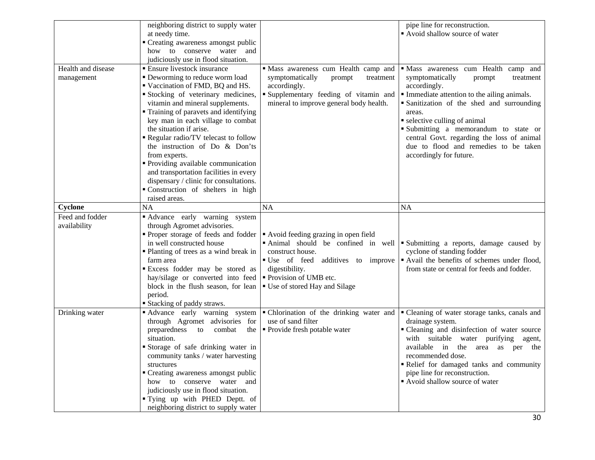| Health and disease<br>management | neighboring district to supply water<br>at needy time.<br>• Creating awareness amongst public<br>how to conserve water and<br>judiciously use in flood situation.<br><b>Ensure livestock insurance</b><br>• Deworming to reduce worm load<br>Vaccination of FMD, BQ and HS.<br>Stocking of veterinary medicines,<br>vitamin and mineral supplements.<br>• Training of paravets and identifying<br>key man in each village to combat<br>the situation if arise.<br>Regular radio/TV telecast to follow<br>the instruction of Do $&$ Don'ts<br>from experts.<br>• Providing available communication<br>and transportation facilities in every | " Mass awareness cum Health camp and<br>symptomatically<br>prompt<br>treatment<br>accordingly.<br>Supplementary feeding of vitamin and<br>mineral to improve general body health. | pipe line for reconstruction.<br>• Avoid shallow source of water<br>· Mass awareness cum Health camp and<br>symptomatically<br>prompt<br>treatment<br>accordingly.<br>• Immediate attention to the ailing animals.<br>· Sanitization of the shed and surrounding<br>areas.<br>• selective culling of animal<br>Submitting a memorandum to state or<br>central Govt. regarding the loss of animal<br>due to flood and remedies to be taken<br>accordingly for future. |
|----------------------------------|---------------------------------------------------------------------------------------------------------------------------------------------------------------------------------------------------------------------------------------------------------------------------------------------------------------------------------------------------------------------------------------------------------------------------------------------------------------------------------------------------------------------------------------------------------------------------------------------------------------------------------------------|-----------------------------------------------------------------------------------------------------------------------------------------------------------------------------------|----------------------------------------------------------------------------------------------------------------------------------------------------------------------------------------------------------------------------------------------------------------------------------------------------------------------------------------------------------------------------------------------------------------------------------------------------------------------|
| <b>Cyclone</b>                   | dispensary / clinic for consultations.<br>"Construction of shelters in high<br>raised areas.<br>NA                                                                                                                                                                                                                                                                                                                                                                                                                                                                                                                                          | <b>NA</b>                                                                                                                                                                         | <b>NA</b>                                                                                                                                                                                                                                                                                                                                                                                                                                                            |
| Feed and fodder<br>availability  | Advance early warning system<br>through Agromet advisories.<br>• Proper storage of feeds and fodder $\vert \cdot \vert$ Avoid feeding grazing in open field<br>in well constructed house<br>• Planting of trees as a wind break in<br>farm area<br><b>Excess fodder may be stored as</b><br>hay/silage or converted into feed<br>block in the flush season, for lean<br>period.<br><b>Stacking of paddy straws.</b>                                                                                                                                                                                                                         | Animal should be confined in well<br>construct house.<br>" Use of feed additives to improve<br>digestibility.<br>■ Provision of UMB etc.<br>■ Use of stored Hay and Silage        | • Submitting a reports, damage caused by<br>cyclone of standing fodder<br>Avail the benefits of schemes under flood,<br>from state or central for feeds and fodder.                                                                                                                                                                                                                                                                                                  |
| Drinking water                   | Advance early warning system<br>through Agromet advisories for<br>preparedness<br>combat<br>the<br>to<br>situation.<br>Storage of safe drinking water in<br>community tanks / water harvesting<br>structures<br>" Creating awareness amongst public<br>how to conserve water and<br>judiciously use in flood situation.<br>" Tying up with PHED Deptt. of<br>neighboring district to supply water                                                                                                                                                                                                                                           | • Chlorination of the drinking water and<br>use of sand filter<br>• Provide fresh potable water                                                                                   | " Cleaning of water storage tanks, canals and<br>drainage system.<br>• Cleaning and disinfection of water source<br>with suitable water purifying agent,<br>available in the area as per the<br>recommended dose.<br>Relief for damaged tanks and community<br>pipe line for reconstruction.<br>Avoid shallow source of water                                                                                                                                        |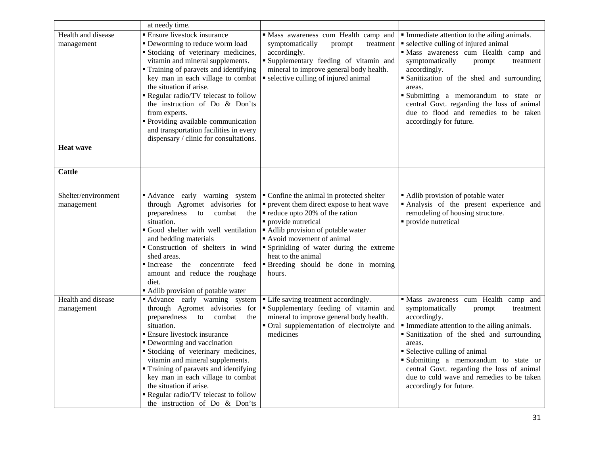|                                   | at needy time.                                                                                                                                                                                                                                                                                                                                                                                                                                                               |                                                                                                                                                                                                                                                                                                                                              |                                                                                                                                                                                                                                                                                                                                                                                                          |
|-----------------------------------|------------------------------------------------------------------------------------------------------------------------------------------------------------------------------------------------------------------------------------------------------------------------------------------------------------------------------------------------------------------------------------------------------------------------------------------------------------------------------|----------------------------------------------------------------------------------------------------------------------------------------------------------------------------------------------------------------------------------------------------------------------------------------------------------------------------------------------|----------------------------------------------------------------------------------------------------------------------------------------------------------------------------------------------------------------------------------------------------------------------------------------------------------------------------------------------------------------------------------------------------------|
| Health and disease<br>management  | <b>Ensure livestock insurance</b><br>• Deworming to reduce worm load<br>Stocking of veterinary medicines,<br>vitamin and mineral supplements.<br>• Training of paravets and identifying<br>key man in each village to combat<br>the situation if arise.<br>Regular radio/TV telecast to follow<br>the instruction of Do & Don'ts<br>from experts.<br>• Providing available communication<br>and transportation facilities in every<br>dispensary / clinic for consultations. | Mass awareness cum Health camp and<br>symptomatically<br>prompt<br>treatment<br>accordingly.<br>Supplementary feeding of vitamin and<br>mineral to improve general body health.<br>• selective culling of injured animal                                                                                                                     | • Immediate attention to the ailing animals.<br>• selective culling of injured animal<br>· Mass awareness cum Health camp and<br>symptomatically<br>prompt<br>treatment<br>accordingly.<br>· Sanitization of the shed and surrounding<br>areas.<br>Submitting a memorandum to state or<br>central Govt. regarding the loss of animal<br>due to flood and remedies to be taken<br>accordingly for future. |
| <b>Heat wave</b>                  |                                                                                                                                                                                                                                                                                                                                                                                                                                                                              |                                                                                                                                                                                                                                                                                                                                              |                                                                                                                                                                                                                                                                                                                                                                                                          |
| <b>Cattle</b>                     |                                                                                                                                                                                                                                                                                                                                                                                                                                                                              |                                                                                                                                                                                                                                                                                                                                              |                                                                                                                                                                                                                                                                                                                                                                                                          |
| Shelter/environment<br>management | Advance early warning system<br>through Agromet advisories for<br>preparedness<br>to<br>combat<br>the<br>situation.<br>Good shelter with well ventilation<br>and bedding materials<br>Construction of shelters in wind<br>shed areas.<br>• Increase<br>the concentrate feed<br>amount and reduce the roughage<br>diet.<br>• Adlib provision of potable water                                                                                                                 | • Confine the animal in protected shelter<br>• prevent them direct expose to heat wave<br>• reduce upto 20% of the ration<br>· provide nutretical<br>• Adlib provision of potable water<br>Avoid movement of animal<br>" Sprinkling of water during the extreme<br>heat to the animal<br><b>Breeding</b> should be done in morning<br>hours. | • Adlib provision of potable water<br>Analysis of the present experience and<br>remodeling of housing structure.<br>· provide nutretical                                                                                                                                                                                                                                                                 |
| Health and disease<br>management  | Advance early warning system<br>through Agromet advisories for<br>preparedness<br>combat<br>to<br>the<br>situation.<br><b>Ensure livestock insurance</b><br>• Deworming and vaccination<br>Stocking of veterinary medicines,<br>vitamin and mineral supplements.<br>• Training of paravets and identifying<br>key man in each village to combat<br>the situation if arise.<br>Regular radio/TV telecast to follow<br>the instruction of Do & Don'ts                          | • Life saving treatment accordingly.<br>"Supplementary feeding of vitamin and<br>mineral to improve general body health.<br>• Oral supplementation of electrolyte and<br>medicines                                                                                                                                                           | · Mass awareness cum Health camp and<br>symptomatically<br>prompt<br>treatment<br>accordingly.<br>Immediate attention to the ailing animals.<br>· Sanitization of the shed and surrounding<br>areas.<br>• Selective culling of animal<br>Submitting a memorandum to state or<br>central Govt. regarding the loss of animal<br>due to cold wave and remedies to be taken<br>accordingly for future.       |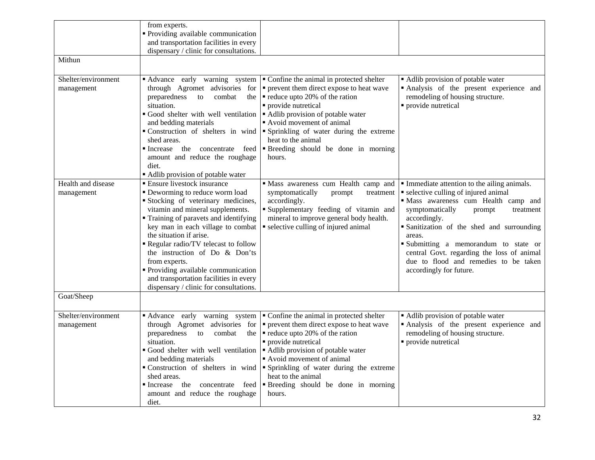|                                   | from experts.<br>• Providing available communication<br>and transportation facilities in every                                                                                                                                                                                                                                                                                                                                                                          |                                                                                                                                                                                                                                                                                                                                            |                                                                                                                                                                                                                                                                                                                                                                                                        |
|-----------------------------------|-------------------------------------------------------------------------------------------------------------------------------------------------------------------------------------------------------------------------------------------------------------------------------------------------------------------------------------------------------------------------------------------------------------------------------------------------------------------------|--------------------------------------------------------------------------------------------------------------------------------------------------------------------------------------------------------------------------------------------------------------------------------------------------------------------------------------------|--------------------------------------------------------------------------------------------------------------------------------------------------------------------------------------------------------------------------------------------------------------------------------------------------------------------------------------------------------------------------------------------------------|
|                                   | dispensary / clinic for consultations.                                                                                                                                                                                                                                                                                                                                                                                                                                  |                                                                                                                                                                                                                                                                                                                                            |                                                                                                                                                                                                                                                                                                                                                                                                        |
| Mithun                            |                                                                                                                                                                                                                                                                                                                                                                                                                                                                         |                                                                                                                                                                                                                                                                                                                                            |                                                                                                                                                                                                                                                                                                                                                                                                        |
| Shelter/environment<br>management | Advance early warning system<br>through Agromet advisories for<br>preparedness<br>combat<br>to<br>the<br>situation.<br>Good shelter with well ventilation<br>and bedding materials<br>Construction of shelters in wind<br>shed areas.<br>Increase the concentrate feed<br>amount and reduce the roughage<br>diet.<br>Adlib provision of potable water                                                                                                                   | • Confine the animal in protected shelter<br>• prevent them direct expose to heat wave<br>• reduce upto 20% of the ration<br>· provide nutretical<br>• Adlib provision of potable water<br>Avoid movement of animal<br>• Sprinkling of water during the extreme<br>heat to the animal<br>"Breeding should be done in morning<br>hours.     | • Adlib provision of potable water<br>Analysis of the present experience and<br>remodeling of housing structure.<br>• provide nutretical                                                                                                                                                                                                                                                               |
| Health and disease<br>management  | ■ Ensure livestock insurance<br>• Deworming to reduce worm load<br>Stocking of veterinary medicines,<br>vitamin and mineral supplements.<br>• Training of paravets and identifying<br>key man in each village to combat<br>the situation if arise.<br>Regular radio/TV telecast to follow<br>the instruction of Do & Don'ts<br>from experts.<br>" Providing available communication<br>and transportation facilities in every<br>dispensary / clinic for consultations. | Mass awareness cum Health camp and<br>symptomatically<br>prompt<br>treatment<br>accordingly.<br>"Supplementary feeding of vitamin and<br>mineral to improve general body health.<br>• selective culling of injured animal                                                                                                                  | • Immediate attention to the ailing animals.<br>• selective culling of injured animal<br>· Mass awareness cum Health camp and<br>symptomatically<br>prompt<br>treatment<br>accordingly.<br>Sanitization of the shed and surrounding<br>areas.<br>Submitting a memorandum to state or<br>central Govt. regarding the loss of animal<br>due to flood and remedies to be taken<br>accordingly for future. |
| Goat/Sheep                        |                                                                                                                                                                                                                                                                                                                                                                                                                                                                         |                                                                                                                                                                                                                                                                                                                                            |                                                                                                                                                                                                                                                                                                                                                                                                        |
| Shelter/environment<br>management | Advance early warning system<br>through Agromet advisories for<br>preparedness<br>combat<br>to<br>the<br>situation.<br>Good shelter with well ventilation<br>and bedding materials<br>Construction of shelters in wind<br>shed areas.<br>Increase the concentrate feed<br>amount and reduce the roughage<br>diet.                                                                                                                                                       | • Confine the animal in protected shelter<br>• prevent them direct expose to heat wave<br>• reduce upto 20% of the ration<br>• provide nutretical<br>Adlib provision of potable water<br>Avoid movement of animal<br>• Sprinkling of water during the extreme<br>heat to the animal<br><b>Breeding</b> should be done in morning<br>hours. | • Adlib provision of potable water<br>Analysis of the present experience and<br>remodeling of housing structure.<br>• provide nutretical                                                                                                                                                                                                                                                               |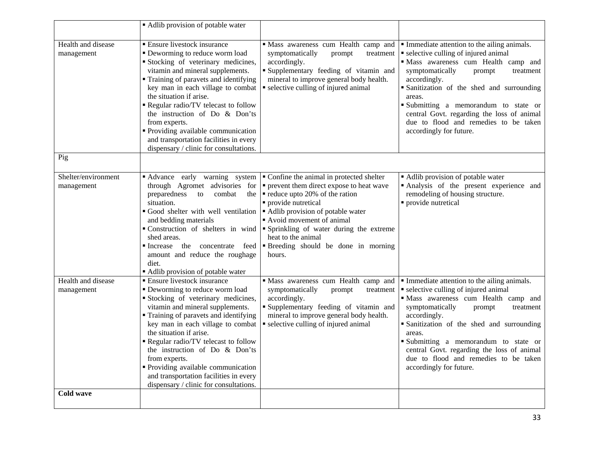|                                   | • Adlib provision of potable water                                                                                                                                                                                                                                                                                                                                                                                                                                           |                                                                                                                                                                                                                                                                                                                                                                                          |                                                                                                                                                                                                                                                                                                                                                                                                                       |
|-----------------------------------|------------------------------------------------------------------------------------------------------------------------------------------------------------------------------------------------------------------------------------------------------------------------------------------------------------------------------------------------------------------------------------------------------------------------------------------------------------------------------|------------------------------------------------------------------------------------------------------------------------------------------------------------------------------------------------------------------------------------------------------------------------------------------------------------------------------------------------------------------------------------------|-----------------------------------------------------------------------------------------------------------------------------------------------------------------------------------------------------------------------------------------------------------------------------------------------------------------------------------------------------------------------------------------------------------------------|
| Health and disease<br>management  | <b>Ensure livestock insurance</b><br>• Deworming to reduce worm load<br>Stocking of veterinary medicines,<br>vitamin and mineral supplements.<br>Training of paravets and identifying<br>key man in each village to combat<br>the situation if arise.<br>Regular radio/TV telecast to follow<br>the instruction of Do & Don'ts<br>from experts.<br>• Providing available communication<br>and transportation facilities in every<br>dispensary / clinic for consultations.   | · Mass awareness cum Health camp and<br>symptomatically<br>prompt<br>treatment<br>accordingly.<br>Supplementary feeding of vitamin and<br>mineral to improve general body health.<br>selective culling of injured animal                                                                                                                                                                 | • Immediate attention to the ailing animals.<br>• selective culling of injured animal<br>· Mass awareness cum Health camp and<br>symptomatically<br>prompt<br>treatment<br>accordingly.<br>· Sanitization of the shed and surrounding<br>areas.<br>Submitting a memorandum to state or<br>central Govt. regarding the loss of animal<br>due to flood and remedies to be taken<br>accordingly for future.              |
| Pig                               |                                                                                                                                                                                                                                                                                                                                                                                                                                                                              |                                                                                                                                                                                                                                                                                                                                                                                          |                                                                                                                                                                                                                                                                                                                                                                                                                       |
| Shelter/environment<br>management | through Agromet advisories for<br>preparedness<br>combat<br>to<br>the<br>situation.<br>Good shelter with well ventilation<br>and bedding materials<br>Construction of shelters in wind<br>shed areas.<br>Increase the concentrate feed<br>amount and reduce the roughage<br>diet.<br>Adlib provision of potable water                                                                                                                                                        | • Advance early warning system For Confine the animal in protected shelter<br>$\bullet$ prevent them direct expose to heat wave<br>$\blacksquare$ reduce upto 20% of the ration<br>· provide nutretical<br>Adlib provision of potable water<br>Avoid movement of animal<br>Sprinkling of water during the extreme<br>heat to the animal<br>"Breeding should be done in morning<br>hours. | • Adlib provision of potable water<br>Analysis of the present experience and<br>remodeling of housing structure.<br>• provide nutretical                                                                                                                                                                                                                                                                              |
| Health and disease<br>management  | <b>Ensure livestock insurance</b><br>• Deworming to reduce worm load<br>Stocking of veterinary medicines,<br>vitamin and mineral supplements.<br>• Training of paravets and identifying<br>key man in each village to combat<br>the situation if arise.<br>Regular radio/TV telecast to follow<br>the instruction of Do & Don'ts<br>from experts.<br>• Providing available communication<br>and transportation facilities in every<br>dispensary / clinic for consultations. | · Mass awareness cum Health camp and<br>symptomatically<br>prompt<br>treatment<br>accordingly.<br>Supplementary feeding of vitamin and<br>mineral to improve general body health.<br>• selective culling of injured animal                                                                                                                                                               | $\blacksquare$ Immediate attention to the ailing animals.<br>• selective culling of injured animal<br>· Mass awareness cum Health camp and<br>symptomatically<br>prompt<br>treatment<br>accordingly.<br>• Sanitization of the shed and surrounding<br>areas.<br>Submitting a memorandum to state or<br>central Govt. regarding the loss of animal<br>due to flood and remedies to be taken<br>accordingly for future. |
| Cold wave                         |                                                                                                                                                                                                                                                                                                                                                                                                                                                                              |                                                                                                                                                                                                                                                                                                                                                                                          |                                                                                                                                                                                                                                                                                                                                                                                                                       |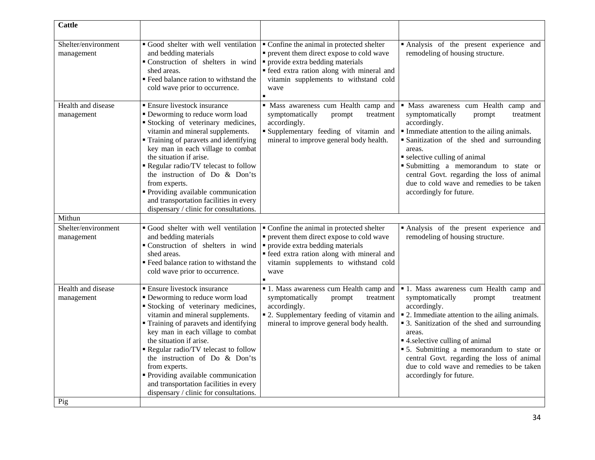| <b>Cattle</b>                     |                                                                                                                                                                                                                                                                                                                                                                                                                                                                            |                                                                                                                                                                                                                            |                                                                                                                                                                                                                                                                                                                                                                                                                             |
|-----------------------------------|----------------------------------------------------------------------------------------------------------------------------------------------------------------------------------------------------------------------------------------------------------------------------------------------------------------------------------------------------------------------------------------------------------------------------------------------------------------------------|----------------------------------------------------------------------------------------------------------------------------------------------------------------------------------------------------------------------------|-----------------------------------------------------------------------------------------------------------------------------------------------------------------------------------------------------------------------------------------------------------------------------------------------------------------------------------------------------------------------------------------------------------------------------|
| Shelter/environment<br>management | Good shelter with well ventilation<br>and bedding materials<br>Construction of shelters in wind<br>shed areas.<br>" Feed balance ration to withstand the<br>cold wave prior to occurrence.                                                                                                                                                                                                                                                                                 | • Confine the animal in protected shelter<br>• prevent them direct expose to cold wave<br>• provide extra bedding materials<br>· feed extra ration along with mineral and<br>vitamin supplements to withstand cold<br>wave | Analysis of the present experience and<br>remodeling of housing structure.                                                                                                                                                                                                                                                                                                                                                  |
| Health and disease<br>management  | • Ensure livestock insurance<br>• Deworming to reduce worm load<br>Stocking of veterinary medicines,<br>vitamin and mineral supplements.<br>Training of paravets and identifying<br>key man in each village to combat<br>the situation if arise.<br>Regular radio/TV telecast to follow<br>the instruction of Do & Don'ts<br>from experts.<br>• Providing available communication<br>and transportation facilities in every<br>dispensary / clinic for consultations.      | · Mass awareness cum Health camp and<br>symptomatically<br>prompt<br>treatment<br>accordingly.<br>Supplementary feeding of vitamin and<br>mineral to improve general body health.                                          | · Mass awareness cum Health camp and<br>symptomatically<br>prompt<br>treatment<br>accordingly.<br>Immediate attention to the ailing animals.<br>Sanitization of the shed and surrounding<br>areas.<br>• selective culling of animal<br>Submitting a memorandum to state or<br>central Govt. regarding the loss of animal<br>due to cold wave and remedies to be taken<br>accordingly for future.                            |
| Mithun                            |                                                                                                                                                                                                                                                                                                                                                                                                                                                                            |                                                                                                                                                                                                                            |                                                                                                                                                                                                                                                                                                                                                                                                                             |
| Shelter/environment<br>management | Good shelter with well ventilation<br>and bedding materials<br>Construction of shelters in wind<br>shed areas.<br>" Feed balance ration to withstand the<br>cold wave prior to occurrence.                                                                                                                                                                                                                                                                                 | • Confine the animal in protected shelter<br>• prevent them direct expose to cold wave<br>• provide extra bedding materials<br>· feed extra ration along with mineral and<br>vitamin supplements to withstand cold<br>wave | Analysis of the present experience and<br>remodeling of housing structure.                                                                                                                                                                                                                                                                                                                                                  |
| Health and disease<br>management  | <b>Ensure livestock insurance</b><br>• Deworming to reduce worm load<br>Stocking of veterinary medicines,<br>vitamin and mineral supplements.<br>Training of paravets and identifying<br>key man in each village to combat<br>the situation if arise.<br>Regular radio/TV telecast to follow<br>the instruction of Do & Don'ts<br>from experts.<br>• Providing available communication<br>and transportation facilities in every<br>dispensary / clinic for consultations. | • 1. Mass awareness cum Health camp and<br>symptomatically<br>prompt<br>treatment<br>accordingly.<br>• 2. Supplementary feeding of vitamin and<br>mineral to improve general body health.                                  | <b>1</b> . Mass awareness cum Health camp and<br>symptomatically<br>prompt<br>treatment<br>accordingly.<br>• 2. Immediate attention to the ailing animals.<br>• 3. Sanitization of the shed and surrounding<br>areas.<br>■ 4. selective culling of animal<br>• 5. Submitting a memorandum to state or<br>central Govt. regarding the loss of animal<br>due to cold wave and remedies to be taken<br>accordingly for future. |
| Pig                               |                                                                                                                                                                                                                                                                                                                                                                                                                                                                            |                                                                                                                                                                                                                            |                                                                                                                                                                                                                                                                                                                                                                                                                             |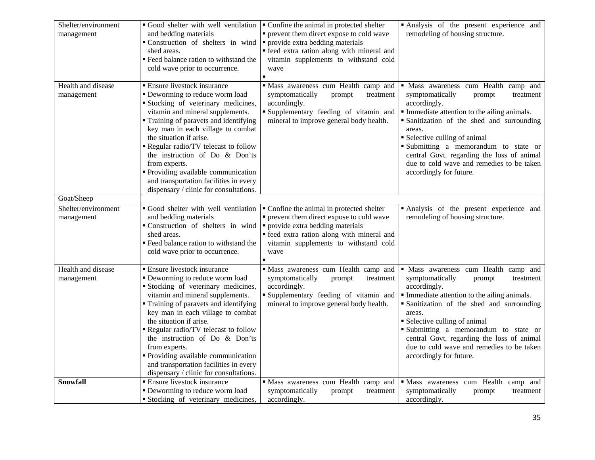| Shelter/environment<br>management | Good shelter with well ventilation<br>and bedding materials<br>Construction of shelters in wind<br>shed areas.<br>■ Feed balance ration to withstand the<br>cold wave prior to occurrence.                                                                                                                                                                                                                                                                                                   | Confine the animal in protected shelter<br>• prevent them direct expose to cold wave<br>• provide extra bedding materials<br>• feed extra ration along with mineral and<br>vitamin supplements to withstand cold<br>wave | · Analysis of the present experience and<br>remodeling of housing structure.                                                                                                                                                                                                                                                                                                                         |
|-----------------------------------|----------------------------------------------------------------------------------------------------------------------------------------------------------------------------------------------------------------------------------------------------------------------------------------------------------------------------------------------------------------------------------------------------------------------------------------------------------------------------------------------|--------------------------------------------------------------------------------------------------------------------------------------------------------------------------------------------------------------------------|------------------------------------------------------------------------------------------------------------------------------------------------------------------------------------------------------------------------------------------------------------------------------------------------------------------------------------------------------------------------------------------------------|
| Health and disease<br>management  | $\overline{\phantom{a}}$ Ensure livestock insurance<br>• Deworming to reduce worm load<br>Stocking of veterinary medicines,<br>vitamin and mineral supplements.<br>" Training of paravets and identifying<br>key man in each village to combat<br>the situation if arise.<br>Regular radio/TV telecast to follow<br>the instruction of Do & Don'ts<br>from experts.<br>Providing available communication<br>and transportation facilities in every<br>dispensary / clinic for consultations. | · Mass awareness cum Health camp and<br>symptomatically<br>treatment<br>prompt<br>accordingly.<br>" Supplementary feeding of vitamin and<br>mineral to improve general body health.                                      | · Mass awareness cum Health camp and<br>symptomatically<br>prompt<br>treatment<br>accordingly.<br>Immediate attention to the ailing animals.<br>Sanitization of the shed and surrounding<br>areas.<br>• Selective culling of animal<br>Submitting a memorandum to state or<br>central Govt. regarding the loss of animal<br>due to cold wave and remedies to be taken<br>accordingly for future.     |
| Goat/Sheep                        |                                                                                                                                                                                                                                                                                                                                                                                                                                                                                              |                                                                                                                                                                                                                          |                                                                                                                                                                                                                                                                                                                                                                                                      |
| Shelter/environment<br>management | Good shelter with well ventilation<br>and bedding materials<br>Construction of shelters in wind<br>shed areas.<br>" Feed balance ration to withstand the<br>cold wave prior to occurrence.                                                                                                                                                                                                                                                                                                   | Confine the animal in protected shelter<br>• prevent them direct expose to cold wave<br>• provide extra bedding materials<br>• feed extra ration along with mineral and<br>vitamin supplements to withstand cold<br>wave | Analysis of the present experience and<br>remodeling of housing structure.                                                                                                                                                                                                                                                                                                                           |
| Health and disease<br>management  | <b>Ensure livestock insurance</b><br>• Deworming to reduce worm load<br>Stocking of veterinary medicines,<br>vitamin and mineral supplements.<br>Training of paravets and identifying<br>key man in each village to combat<br>the situation if arise.<br>Regular radio/TV telecast to follow<br>the instruction of Do & Don'ts<br>from experts.<br>• Providing available communication<br>and transportation facilities in every<br>dispensary / clinic for consultations.                   | Mass awareness cum Health camp and<br>symptomatically<br>prompt<br>treatment<br>accordingly.<br>"Supplementary feeding of vitamin and<br>mineral to improve general body health.                                         | · Mass awareness cum Health camp and<br>symptomatically<br>prompt<br>treatment<br>accordingly.<br>• Immediate attention to the ailing animals.<br>· Sanitization of the shed and surrounding<br>areas.<br>• Selective culling of animal<br>Submitting a memorandum to state or<br>central Govt. regarding the loss of animal<br>due to cold wave and remedies to be taken<br>accordingly for future. |
| Snowfall                          | <b>Ensure livestock insurance</b><br>• Deworming to reduce worm load<br>Stocking of veterinary medicines,                                                                                                                                                                                                                                                                                                                                                                                    | · Mass awareness cum Health camp and<br>symptomatically<br>prompt<br>treatment<br>accordingly.                                                                                                                           | · Mass awareness cum Health camp and<br>symptomatically<br>prompt<br>treatment<br>accordingly.                                                                                                                                                                                                                                                                                                       |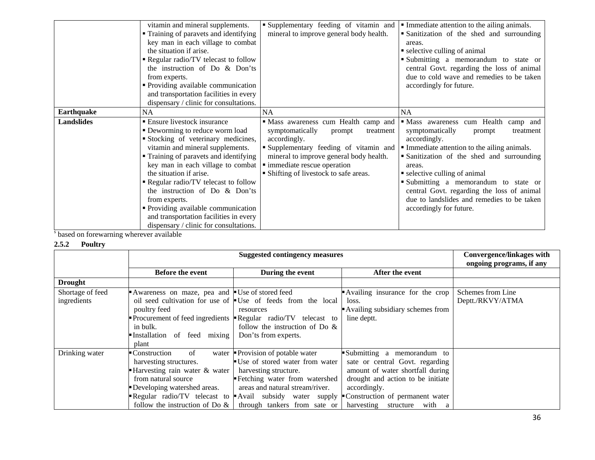|                   | vitamin and mineral supplements.       | Supplementary feeding of vitamin and    | • Immediate attention to the ailing animals. |
|-------------------|----------------------------------------|-----------------------------------------|----------------------------------------------|
|                   | • Training of paravets and identifying | mineral to improve general body health. | Sanitization of the shed and surrounding     |
|                   | key man in each village to combat      |                                         | areas.                                       |
|                   | the situation if arise.                |                                         | • selective culling of animal                |
|                   | Regular radio/TV telecast to follow    |                                         | Submitting a memorandum to state or          |
|                   | the instruction of Do & Don'ts         |                                         | central Govt. regarding the loss of animal   |
|                   | from experts.                          |                                         | due to cold wave and remedies to be taken    |
|                   | • Providing available communication    |                                         | accordingly for future.                      |
|                   | and transportation facilities in every |                                         |                                              |
|                   | dispensary / clinic for consultations. |                                         |                                              |
| <b>Earthquake</b> | <b>NA</b>                              | <b>NA</b>                               | <b>NA</b>                                    |
| <b>Landslides</b> | ■ Ensure livestock insurance           | · Mass awareness cum Health camp and    | · Mass awareness cum Health camp and         |
|                   | • Deworming to reduce worm load        | symptomatically<br>treatment<br>prompt  | symptomatically<br>treatment<br>prompt       |
|                   | Stocking of veterinary medicines,      | accordingly.                            | accordingly.                                 |
|                   | vitamin and mineral supplements.       | Supplementary feeding of vitamin and    | • Immediate attention to the ailing animals. |
|                   | • Training of paravets and identifying | mineral to improve general body health. | Sanitization of the shed and surrounding     |
|                   | key man in each village to combat      | · immediate rescue operation            | areas.                                       |
|                   | the situation if arise.                | • Shifting of livestock to safe areas.  | • selective culling of animal                |
|                   | Regular radio/TV telecast to follow    |                                         | Submitting a memorandum to state or          |
|                   | the instruction of Do & Don'ts         |                                         | central Govt. regarding the loss of animal   |
|                   | from experts.                          |                                         | due to landslides and remedies to be taken   |
|                   | • Providing available communication    |                                         | accordingly for future.                      |
|                   | and transportation facilities in every |                                         |                                              |
|                   | dispensary / clinic for consultations. |                                         |                                              |

<sup>s</sup> based on forewarning wherever available

# **2.5.2 Poultry**

|                  |                                               | <b>Convergence/linkages with</b><br>ongoing programs, if any                       |                                   |                   |
|------------------|-----------------------------------------------|------------------------------------------------------------------------------------|-----------------------------------|-------------------|
|                  | <b>Before the event</b>                       | During the event                                                                   | After the event                   |                   |
| <b>Drought</b>   |                                               |                                                                                    |                                   |                   |
| Shortage of feed | Awareness on maze, pea and Use of stored feed |                                                                                    | Availing insurance for the crop   | Schemes from Line |
| ingredients      |                                               | oil seed cultivation for use of $\blacksquare$ Use of feeds from the local         | loss.                             | Deptt./RKVY/ATMA  |
|                  | poultry feed                                  | resources                                                                          | Availing subsidiary schemes from  |                   |
|                  |                                               | Procurement of feed ingredients $\blacktriangleright$ Regular radio/TV telecast to | line deptt.                       |                   |
|                  | in bulk.                                      | follow the instruction of Do $\&$                                                  |                                   |                   |
|                  | Installation of feed<br>mixing                | Don'ts from experts.                                                               |                                   |                   |
|                  | plant                                         |                                                                                    |                                   |                   |
| Drinking water   | of<br>■ Construction<br>water                 | Provision of potable water                                                         | Submitting a memorandum to        |                   |
|                  | harvesting structures.                        | Use of stored water from water                                                     | sate or central Govt. regarding   |                   |
|                  | Harvesting rain water & water                 | harvesting structure.                                                              | amount of water shortfall during  |                   |
|                  | from natural source                           | Fetching water from watershed                                                      | drought and action to be initiate |                   |
|                  | Developing watershed areas.                   | areas and natural stream/river.                                                    | accordingly.                      |                   |
|                  |                                               | Regular radio/TV telecast to Avail subsidy water supply                            | Construction of permanent water   |                   |
|                  |                                               | follow the instruction of Do $\&$   through tankers from sate or                   | harvesting structure with a       |                   |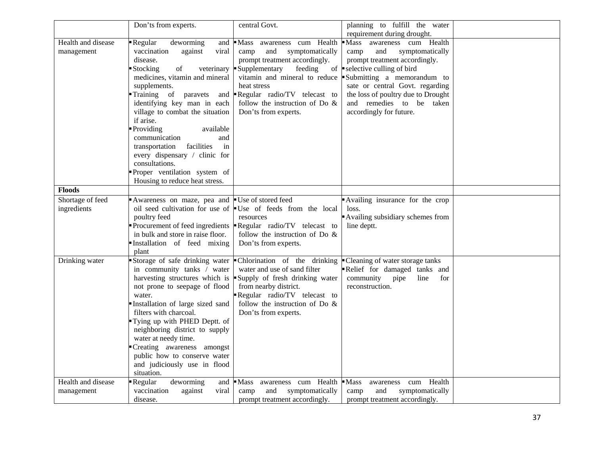|                    | Don'ts from experts.                      | central Govt.                                               | planning to fulfill the water<br>requirement during drought. |  |
|--------------------|-------------------------------------------|-------------------------------------------------------------|--------------------------------------------------------------|--|
| Health and disease | Regular<br>deworming<br>and               | Mass awareness cum Health                                   | Mass awareness cum Health                                    |  |
| management         | vaccination<br>against<br>viral           | and<br>symptomatically<br>camp                              | and<br>symptomatically<br>camp                               |  |
|                    | disease.                                  | prompt treatment accordingly.                               | prompt treatment accordingly.                                |  |
|                    | <b>Stocking</b><br>of<br>veterinary       | Supplementary<br>feeding<br>of                              | selective culling of bird                                    |  |
|                    | medicines, vitamin and mineral            | vitamin and mineral to reduce                               | Submitting a memorandum to                                   |  |
|                    | supplements.                              | heat stress                                                 | sate or central Govt. regarding                              |  |
|                    | Training of paravets<br>and               | Regular radio/TV telecast to                                | the loss of poultry due to Drought                           |  |
|                    | identifying key man in each               | follow the instruction of Do &                              | and remedies to be taken                                     |  |
|                    | village to combat the situation           | Don'ts from experts.                                        | accordingly for future.                                      |  |
|                    | if arise.                                 |                                                             |                                                              |  |
|                    | Providing<br>available                    |                                                             |                                                              |  |
|                    | communication                             |                                                             |                                                              |  |
|                    | and<br>facilities<br>transportation<br>in |                                                             |                                                              |  |
|                    | every dispensary / clinic for             |                                                             |                                                              |  |
|                    | consultations.                            |                                                             |                                                              |  |
|                    | Proper ventilation system of              |                                                             |                                                              |  |
|                    | Housing to reduce heat stress.            |                                                             |                                                              |  |
| <b>Floods</b>      |                                           |                                                             |                                                              |  |
| Shortage of feed   | Awareness on maze, pea and                | ■ Use of stored feed                                        | Availing insurance for the crop                              |  |
| ingredients        |                                           | oil seed cultivation for use of Use of feeds from the local | loss.                                                        |  |
|                    | poultry feed                              | resources                                                   | Availing subsidiary schemes from                             |  |
|                    | Procurement of feed ingredients           | Regular radio/TV telecast to                                | line deptt.                                                  |  |
|                    | in bulk and store in raise floor.         | follow the instruction of Do $\&$                           |                                                              |  |
|                    | Installation of feed mixing               | Don'ts from experts.                                        |                                                              |  |
|                    | plant                                     |                                                             |                                                              |  |
| Drinking water     | Storage of safe drinking water            | Chlorination of the drinking                                | - Cleaning of water storage tanks                            |  |
|                    | in community tanks / water                | water and use of sand filter                                | Relief for damaged tanks and                                 |  |
|                    | harvesting structures which is            | Supply of fresh drinking water                              | community<br>pipe<br>line<br>for                             |  |
|                    | not prone to seepage of flood             | from nearby district.                                       | reconstruction.                                              |  |
|                    | water.                                    | Regular radio/TV telecast to                                |                                                              |  |
|                    | Installation of large sized sand          | follow the instruction of Do $\&$                           |                                                              |  |
|                    | filters with charcoal.                    | Don'ts from experts.                                        |                                                              |  |
|                    | Tying up with PHED Deptt. of              |                                                             |                                                              |  |
|                    | neighboring district to supply            |                                                             |                                                              |  |
|                    | water at needy time.                      |                                                             |                                                              |  |
|                    | Creating awareness amongst                |                                                             |                                                              |  |
|                    | public how to conserve water              |                                                             |                                                              |  |
|                    | and judiciously use in flood              |                                                             |                                                              |  |
|                    | situation.                                |                                                             |                                                              |  |
| Health and disease | Regular<br>deworming<br>and               | $\blacksquare$ Mass<br>awareness cum Health                 | $\blacksquare$ Mass<br>cum Health<br>awareness               |  |
| management         | vaccination<br>against<br>viral           | and<br>symptomatically<br>camp                              | and<br>symptomatically<br>camp                               |  |
|                    | disease.                                  | prompt treatment accordingly.                               | prompt treatment accordingly.                                |  |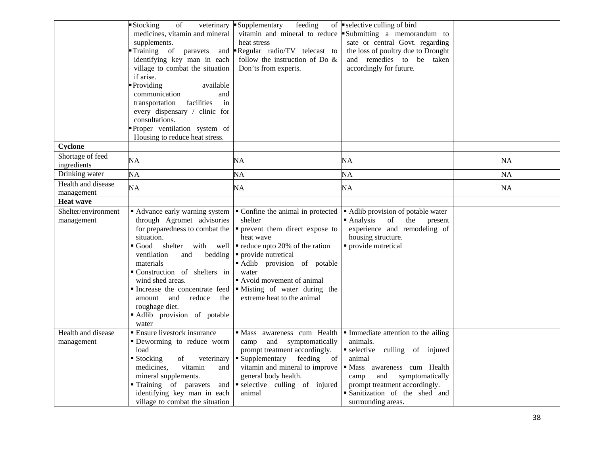|                                   | of<br>Stocking<br>veterinary<br>medicines, vitamin and mineral<br>supplements.<br>Training of<br>paravets<br>and<br>identifying key man in each<br>village to combat the situation<br>if arise.<br>Providing<br>available<br>communication<br>and<br>facilities<br>transportation<br>in<br>every dispensary / clinic for<br>consultations.<br>Proper ventilation system of<br>Housing to reduce heat stress. | Supplementary<br>feeding<br>heat stress<br>Regular radio/TV telecast to<br>follow the instruction of Do &<br>Don'ts from experts.                                                                                                                                                                      | of $\bullet$ selective culling of bird<br>vitamin and mineral to reduce Submitting a memorandum to<br>sate or central Govt. regarding<br>the loss of poultry due to Drought<br>and remedies to be taken<br>accordingly for future.                |           |
|-----------------------------------|--------------------------------------------------------------------------------------------------------------------------------------------------------------------------------------------------------------------------------------------------------------------------------------------------------------------------------------------------------------------------------------------------------------|--------------------------------------------------------------------------------------------------------------------------------------------------------------------------------------------------------------------------------------------------------------------------------------------------------|---------------------------------------------------------------------------------------------------------------------------------------------------------------------------------------------------------------------------------------------------|-----------|
| Cyclone                           |                                                                                                                                                                                                                                                                                                                                                                                                              |                                                                                                                                                                                                                                                                                                        |                                                                                                                                                                                                                                                   |           |
| Shortage of feed<br>ingredients   | NA                                                                                                                                                                                                                                                                                                                                                                                                           | NA                                                                                                                                                                                                                                                                                                     | NA                                                                                                                                                                                                                                                | NA        |
| Drinking water                    | NA                                                                                                                                                                                                                                                                                                                                                                                                           | NA                                                                                                                                                                                                                                                                                                     | NA                                                                                                                                                                                                                                                | <b>NA</b> |
| Health and disease<br>management  | NA                                                                                                                                                                                                                                                                                                                                                                                                           | NA                                                                                                                                                                                                                                                                                                     | NA                                                                                                                                                                                                                                                | <b>NA</b> |
| <b>Heat wave</b>                  |                                                                                                                                                                                                                                                                                                                                                                                                              |                                                                                                                                                                                                                                                                                                        |                                                                                                                                                                                                                                                   |           |
| Shelter/environment<br>management | Advance early warning system<br>through Agromet advisories<br>for preparedness to combat the<br>situation.<br>Good shelter with well<br>ventilation<br>bedding<br>and<br>materials<br>Construction of shelters in<br>wind shed areas.<br>Increase the concentrate feed<br>amount<br>and<br>reduce<br>the<br>roughage diet.<br>Adlib provision of potable<br>water                                            | • Confine the animal in protected<br>shelter<br>• prevent them direct expose to<br>heat wave<br>$\blacksquare$ reduce upto 20% of the ration<br>• provide nutretical<br>Adlib provision of potable<br>water<br>Avoid movement of animal<br>· Misting of water during the<br>extreme heat to the animal | • Adlib provision of potable water<br>$\blacksquare$ Analysis<br>of<br>the<br>present<br>experience and remodeling of<br>housing structure.<br>provide nutretical                                                                                 |           |
| Health and disease<br>management  | <b>Ensure livestock insurance</b><br>· Deworming to reduce worm<br>load<br>$\blacksquare$ Stocking<br>of<br>veterinary<br>vitamin<br>medicines,<br>and<br>mineral supplements.<br>Training of paravets<br>and<br>identifying key man in each<br>village to combat the situation                                                                                                                              | · Mass awareness cum Health<br>and<br>symptomatically<br>camp<br>prompt treatment accordingly.<br>• Supplementary feeding of<br>vitamin and mineral to improve<br>general body health.<br>selective culling of injured<br>animal                                                                       | • Immediate attention to the ailing<br>animals.<br>selective culling of injured<br>animal<br>· Mass awareness cum Health<br>and<br>symptomatically<br>camp<br>prompt treatment accordingly.<br>Sanitization of the shed and<br>surrounding areas. |           |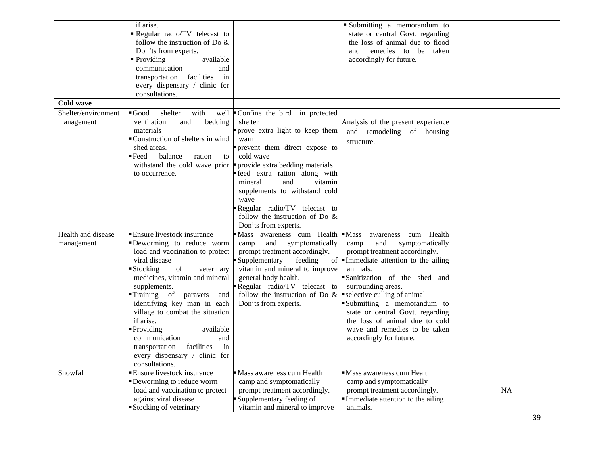|                     | if arise.                                                  |                                    | Submitting a memorandum to                          |           |
|---------------------|------------------------------------------------------------|------------------------------------|-----------------------------------------------------|-----------|
|                     | Regular radio/TV telecast to                               |                                    | state or central Govt. regarding                    |           |
|                     | follow the instruction of Do &                             |                                    | the loss of animal due to flood                     |           |
|                     | Don'ts from experts.                                       |                                    | and remedies to be taken                            |           |
|                     | $\blacksquare$ Providing<br>available                      |                                    | accordingly for future.                             |           |
|                     | communication<br>and                                       |                                    |                                                     |           |
|                     | in<br>facilities<br>transportation                         |                                    |                                                     |           |
|                     | every dispensary / clinic for                              |                                    |                                                     |           |
|                     | consultations.                                             |                                    |                                                     |           |
| <b>Cold wave</b>    |                                                            |                                    |                                                     |           |
| Shelter/environment | $\blacksquare$ Good<br>shelter<br>with                     | well Confine the bird in protected |                                                     |           |
| management          | ventilation<br>and<br>bedding                              | shelter                            | Analysis of the present experience                  |           |
|                     | materials                                                  | prove extra light to keep them     | and remodeling of housing                           |           |
|                     | Construction of shelters in wind                           | warm                               |                                                     |           |
|                     | shed areas.                                                | prevent them direct expose to      | structure.                                          |           |
|                     | Feed<br>balance<br>ration<br>to                            | cold wave                          |                                                     |           |
|                     | withstand the cold wave prior                              | provide extra bedding materials    |                                                     |           |
|                     | to occurrence.                                             | reed extra ration along with       |                                                     |           |
|                     |                                                            | mineral<br>and<br>vitamin          |                                                     |           |
|                     |                                                            | supplements to withstand cold      |                                                     |           |
|                     |                                                            | wave                               |                                                     |           |
|                     |                                                            | Regular radio/TV telecast to       |                                                     |           |
|                     |                                                            | follow the instruction of Do $\&$  |                                                     |           |
|                     |                                                            | Don'ts from experts.               |                                                     |           |
| Health and disease  | <b>Ensure livestock insurance</b>                          | Mass awareness cum Health          | cum Health<br>$\blacksquare$ Mass<br>awareness      |           |
|                     | Deworming to reduce worm                                   | and symptomatically<br>camp        | symptomatically<br>camp<br>and                      |           |
| management          | load and vaccination to protect                            | prompt treatment accordingly.      | prompt treatment accordingly.                       |           |
|                     | viral disease                                              | Supplementary<br>feeding           | of $\blacksquare$ Immediate attention to the ailing |           |
|                     | Stocking<br>of<br>veterinary                               | vitamin and mineral to improve     | animals.                                            |           |
|                     | medicines, vitamin and mineral                             | general body health.               | Sanitization of the shed and                        |           |
|                     | supplements.                                               | Regular radio/TV telecast to       | surrounding areas.                                  |           |
|                     |                                                            | follow the instruction of Do $\&$  | selective culling of animal                         |           |
|                     | Training of paravets<br>and<br>identifying key man in each |                                    | Submitting a memorandum to                          |           |
|                     |                                                            | Don'ts from experts.               |                                                     |           |
|                     | village to combat the situation                            |                                    | state or central Govt. regarding                    |           |
|                     | if arise.                                                  |                                    | the loss of animal due to cold                      |           |
|                     | Providing<br>available                                     |                                    | wave and remedies to be taken                       |           |
|                     | communication<br>and                                       |                                    | accordingly for future.                             |           |
|                     | facilities<br>transportation<br>in                         |                                    |                                                     |           |
|                     | every dispensary / clinic for                              |                                    |                                                     |           |
|                     | consultations.                                             |                                    |                                                     |           |
| Snowfall            | <b>Ensure livestock insurance</b>                          | Mass awareness cum Health          | Mass awareness cum Health                           |           |
|                     | Deworming to reduce worm                                   | camp and symptomatically           | camp and symptomatically                            |           |
|                     | load and vaccination to protect                            | prompt treatment accordingly.      | prompt treatment accordingly.                       | <b>NA</b> |
|                     | against viral disease                                      | Supplementary feeding of           | Immediate attention to the ailing                   |           |
|                     | Stocking of veterinary                                     | vitamin and mineral to improve     | animals.                                            |           |